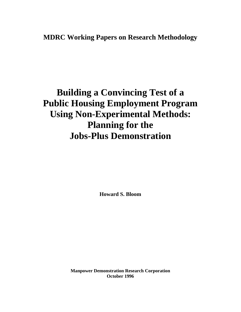# **MDRC Working Papers on Research Methodology**

# **Building a Convincing Test of a Public Housing Employment Program Using Non-Experimental Methods: Planning for the Jobs-Plus Demonstration**

**Howard S. Bloom**

**Manpower Demonstration Research Corporation October 1996**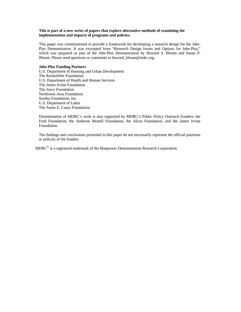# **This is part of a new series of papers that explore alternative methods of examining the implementation and impacts of programs and policies.**

This paper was commissioned to provide a framework for developing a research design for the Jobs-Plus Demonstration. It was excerpted from "Research Design Issues and Options for Jobs-Plus," which was prepared as part of the Jobs-Plus Demonstration by Howard S. Bloom and Susan P. Bloom. Please send questions or comments to howard\_bloom@mdrc.org.

#### **Jobs-Plus Funding Partners**

U.S. Department of Housing and Urban Development The Rockefeller Foundation U.S. Department of Health and Human Services The James Irvine Foundation The Joyce Foundation Northwest Area Foundation Surdna Foundation, Inc. U.S. Department of Labor The Annie E. Casey Foundation

Dissemination of MDRC's work is also supported by MDRC's Public Policy Outreach Funders: the Ford Foundation, the Ambrose Monell Foundation, the Alcoa Foundation, and the James Irvine Foundation.

The findings and conclusions presented in this paper do not necessarily represent the official positions or policies of the funders.

MDRC<sup>®</sup> is a registered trademark of the Manpower Demonstration Research Corporation.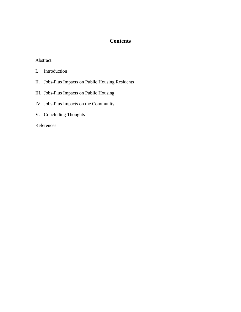# **Contents**

# Abstract

- I. Introduction
- II. Jobs-Plus Impacts on Public Housing Residents
- III. Jobs-Plus Impacts on Public Housing
- IV. Jobs-Plus Impacts on the Community
- V. Concluding Thoughts

# References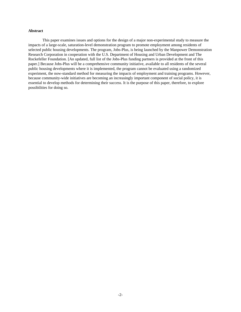#### **Abstract**

This paper examines issues and options for the design of a major non-experimental study to measure the impacts of a large-scale, saturation-level demonstration program to promote employment among residents of selected public housing developments. The program, Jobs-Plus, is being launched by the Manpower Demonstration Research Corporation in cooperation with the U.S. Department of Housing and Urban Development and The Rockefeller Foundation. [An updated, full list of the Jobs-Plus funding partners is provided at the front of this paper.] Because Jobs-Plus will be a comprehensive community initiative, available to all residents of the several public housing developments where it is implemented, the program cannot be evaluated using a randomized experiment, the now-standard method for measuring the impacts of employment and training programs. However, because community-wide initiatives are becoming an increasingly important component of social policy, it is essential to develop methods for determining their success. It is the purpose of this paper, therefore, to explore possibilities for doing so.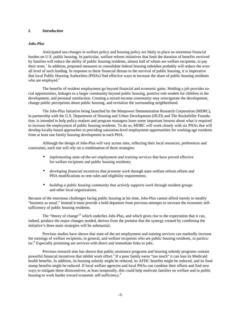#### *I. Introduction*

#### *Jobs-Plus*

Anticipated sea-changes in welfare policy and housing policy are likely to place an enormous financial burden on U.S. public housing. In particular, welfare reform initiatives that limit the duration of benefits received by families will reduce the ability of public housing residents, almost half of whom are welfare recipients, to pay their rents.<sup>1</sup> In addition, proposed measures to consolidate federal housing subsidies probably will reduce the overall level of such funding. In response to these financial threats to the survival of public housing, it is imperative that local Public Housing Authorities (PHAs) find effective ways to increase the share of public housing residents who are employed. $2$ 

The benefits of resident employment go beyond financial and economic gains. Holding a job provides social opportunities, linkages to a larger community beyond public housing, positive role models for children in the development, and personal satisfaction. Creating a mixed-income community may reinvigorate the development, change public perceptions about public housing, and revitalize the surrounding neighborhood.

The Jobs-Plus Initiative being launched by the Manpower Demonstration Research Corporation (MDRC), in partnership with the U.S. Department of Housing and Urban Development (HUD) and The Rockefeller Foundation, is intended to help policy-makers and program managers learn some important lessons about what is required to increase the employment of public housing residents. To do so, MDRC will work closely with six PHAs that will develop locally-based approaches to providing saturation-level employment opportunities for working-age residents from at least one family housing development in each PHA.

Although the design of Jobs-Plus will vary across sites, reflecting their local resources, preferences and constraints, each site will rely on a combination of three strategies:

- *implementing state-of-the-art employment and training services that have proved effective* for welfare recipients and public housing residents;
- *developing financial incentives that promote work* through state welfare reform efforts and PHA modifications to rent rules and eligibility requirements;
- *building a public housing community that actively supports work* through resident groups and other local organizations.

Because of the enormous challenges facing public housing at his time, Jobs-Plus cannot afford merely to modify "business as usual." Instead it must provide a bold departure from previous attempts to increase the economic selfsufficiency of public housing residents.

The "theory of change"<sup>3</sup> which underlies Jobs-Plus, and which gives rise to the expectation that it can, indeed, produce the major changes needed, derives from the premise that the synergy created by *combining* the initiative's three main strategies will be substantial.

Previous studies have shown that state-of-the-art employment and training services can markedly increase the earnings of welfare recipients, in general, and welfare recipients who are public housing residents, in particular.<sup>4</sup> Especially promising are services with direct and immediate links to jobs.

Previous research also has shown that public assistance programs and housing subsidy programs contain powerful financial incentives that inhibit work effort.<sup>5</sup> If a poor family earns "too much" it can lose its Medicaid health benefits. In addition, its housing subsidy might be reduced, its AFDC benefits might be reduced, and its food stamp benefits might be reduced. If local welfare agencies and local PHAs can combine their efforts and find new ways to mitigate these disincentives, at least temporally, this could help motivate families on welfare and in public housing to work harder toward economic self-sufficiency.<sup>6</sup>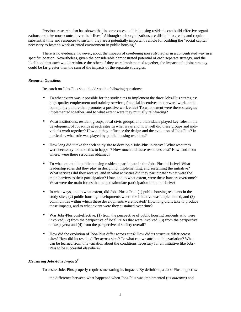Previous research also has shown that in some cases, public housing residents can build effective organizations and take more control over their lives.<sup>7</sup> Although such organizations are difficult to create, and require substantial time and resources to sustain, they are a potentially important vehicle for building the "social capital" necessary to foster a work-oriented environment in public housing.<sup>8</sup>

There is no evidence, however, about the impacts of *combining these strategies* in a concentrated way in a specific location. Nevertheless, given the considerable demonstrated potential of each separate strategy, and the likelihood that each would reinforce the others if they were implemented together, the impacts of a joint strategy could be far greater than the sum of the impacts of the separate strategies.

#### *Research Questions*

Research on Jobs-Plus should address the following questions:

- To what extent was it possible for the study sites to implement the three Jobs-Plus strategies: high-quality employment and training services, financial incentives that reward work, and a community culture that promotes a positive work ethic? To what extent were these strategies implemented together, and to what extent were they mutually reinforcing?
- What institutions, resident groups, local civic groups, and individuals played key roles in the development of Jobs-Plus at each site? In what ways and how well did these groups and individuals work together? How did they influence the design and the evolution of Jobs-Plus? In particular, what role was played by public housing residents?
- How long did it take for each study site to develop a Jobs-Plus initiative? What resources were necessary to make this to happen? How much did these resources cost? How, and from where, were these resources obtained?
- To what extent did public housing residents participate in the Jobs-Plus initiative? What leadership roles did they play in designing, implementing, and sustaining the initiative? What services did they receive, and in what activities did they participate? What were the main barriers to their participation? How, and to what extent, were these barriers overcome? What were the main forces that helped stimulate participation in the initiative?
- In what ways, and to what extent, did Jobs-Plus affect: (1) public housing residents in the study sites; (2) public housing developments where the initiative was implemented; and (3) communities within which these developments were located? How long did it take to produce these impacts, and to what extent were they sustained over time?
- Was Jobs-Plus cost-effective: (1) from the perspective of public housing residents who were involved; (2) from the perspective of local PHAs that were involved; (3) from the perspective of taxpayers; and (4) from the perspective of society overall?
- How did the evolution of Jobs-Plus differ across sites? How did its structure differ across sites? How did its results differ across sites? To what can we attribute this variation? What can be learned from this variation about the conditions necessary for an initiative like Jobs-Plus to be successful elsewhere?

#### *Measuring Jobs-Plus Impacts*<sup>9</sup>

To assess Jobs-Plus properly requires measuring its impacts. By definition, a Jobs-Plus impact is:

the difference between what happened when Jobs-Plus was implemented (its *outcome)* and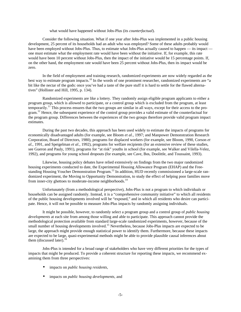#### what would have happened without Jobs-Plus (its *counterfactual*).

Consider the following situation. What if one year after Jobs-Plus was implemented in a public housing development, 25 percent of its households had an adult who was employed? Some of these adults probably would have been employed without Jobs-Plus. Thus, to estimate what Jobs-Plus actually caused to happen — its impact one must estimate what the employment rate would have been without the initiative. If, for example, this rate would have been 10 percent without Jobs-Plus, then the impact of the initiative would be 15 percentage points. If, on the other hand, the employment rate would have been 25 percent without Jobs-Plus, then its impact would be zero.

In the field of employment and training research, randomized experiments are now widely regarded as the best way to estimate program impacts.<sup>10</sup> In the words of one prominent researcher, randomized experiments are "a bit like the nectar of the gods: once you've had a taste of the pure stuff it is hard to settle for the flawed alternatives" (Hollister and Hill, 1995, p. 134).

Randomized experiments are like a lottery. They randomly assign eligible program applicants to either a program group, which is allowed to participate, or a control group which is excluded from the program, at least temporarily.<sup>11</sup> This process ensures that the two groups are similar in all ways, except for their access to the program.<sup>12</sup> Hence, the subsequent experience of the control group provides a valid estimate of the counterfactual for the program group. Differences between the experiences of the two groups therefore provide valid program impact estimates.

During the past two decades, this approach has been used widely to estimate the impacts of programs for economically disadvantaged adults (for example, see Bloom *et al.,* 1997; and Manpower Demonstration Research Corporation, Board of Directors, 1980), programs for displaced workers (for example, see Bloom, 1990, Corson *et al.*, 1991, and Speigelman *et al.*, 1992), programs for welfare recipients (for an extensive review of these studies, see Gueron and Pauly, 1991), programs for "at risk" youths in school (for example, see Walker and Vilella-Velez, 1992), and programs for young school dropouts (for example, see Cave, Bos, Doolittle, and Toussaint, 1993).

Likewise, housing policy debates have relied extensively on findings from the two major randomized housing experiments conducted to date, the Experimental Housing Allowance Program (EHAP) and the Freestanding Housing Voucher Demonstration Program.<sup>13</sup> In addition, HUD recently commissioned a large-scale randomized experiment, the Moving to Opportunity Demonstration, to study the effect of helping poor families move from inner-city ghettoes to moderate-income neighborhoods.<sup>14</sup>

Unfortunately (from a methodological perspective), Jobs-Plus is not a program to which individuals or households can be assigned randomly. Instead, it is a "comprehensive community initiative" to which all residents of the public housing developments involved will be "exposed," and in which all residents who desire can participate. Hence, it will not be possible to measure Jobs-Plus impacts by randomly assigning individuals.

It might be possible, however, to randomly select a program group and a control group of *public housing developments* at each site from among those willing and able to participate. This approach cannot provide the methodological protection available from standard large-scale randomized experiments, however, because of the small number of housing developments involved.<sup>15</sup> Nevertheless, because Jobs-Plus impacts are expected to be large, the approach might provide enough statistical power to identify them. Furthermore, because these impacts are expected to be large, quasi-experimental methods might be able to provide plausible causal inferences about them (discussed later).<sup>16</sup>

Jobs-Plus is intended for a broad range of stakeholders who have very different priorities for the types of impacts that might be produced. To provide a coherent structure for reporting these impacts, we recommend examining them from three perspectives:

- impacts on *public housing residents,*
- impacts on *public housing developments*, and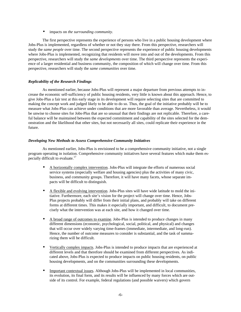• impacts on *the surrounding community.*

The first perspective represents the experience of persons who live in a public housing development where Jobs-Plus is implemented, regardless of whether or not they stay there. From this perspective, researchers will study the *same people* over time. The second perspective represents the experience of public housing developments where Jobs-Plus is implemented, recognizing that residents will move into and out of the developments. From this perspective, researchers will study the *same developments* over time. The third perspective represents the experience of a larger residential and business community, the composition of which will change over time. From this perspective, researchers will study the *same communities* over time.

# *Replicability of the Research Findings*

As mentioned earlier, because Jobs-Plus will represent a major departure from previous attempts to increase the economic self-sufficiency of public housing residents, very little is known about this approach. Hence, to give Jobs-Plus a fair test at this early stage in its development will require selecting sites that are committed to making the concept work and judged likely to be able to do so. Thus, the goal of the initiative probably will be to measure what Jobs-Plus can achieve under conditions that are more favorable than average. Nevertheless, it would be unwise to choose sites for Jobs-Plus that are so unusual that their findings are not replicable. Therefore, a careful balance will be maintained between the expected commitment and capability of the sites selected for the demonstration and the likelihood that other sites, but not necessarily all sites, could replicate their experience in the future.

#### *Developing New Methods to Assess Comprehensive Community Initiatives*

As mentioned earlier, Jobs-Plus is envisioned to be a comprehensive community initiative, not a single program operating in isolation. Comprehensive community initiatives have several features which make them especially difficult to evaluate.<sup>17</sup>

- A horizontally complex intervention. Jobs-Plus will integrate the efforts of numerous social service systems (especially welfare and housing agencies) plus the activities of many civic, business, and community groups. Therefore, it will have many facets, whose separate impacts will be difficult to distinguish.
- A flexible and evolving intervention. Jobs-Plus sites will have wide latitude to mold the initiative. Furthermore, each site's vision for the project will change over time. Hence, Jobs-Plus projects probably will differ from their initial plans, and probably will take on different forms at different times. This makes it especially important, and difficult, to document precisely what the intervention was at each site, and how it changed over time.
- A broad range of outcomes to examine. Jobs-Plus is intended to produce changes in many different dimensions (economic, psychological, social, political, and physical) and changes that will occur over widely varying time-frames (immediate, intermediate, and long-run). Hence, the number of outcome measures to consider is substantial, and the task of summarizing them will be difficult.
- Vertically complex impacts. Jobs-Plus is intended to produce impacts that are experienced at different levels and that therefore should be examined from different perspectives. As indicated above, Jobs-Plus is expected to produce impacts on public housing residents, on public housing developments, and on the communities surrounding these developments.
- Important contextual issues. Although Jobs-Plus will be implemented in local communities, its evolution, its final form, and its results will be influenced by many forces which are outside of its control. For example, federal regulations (and possible waivers) which govern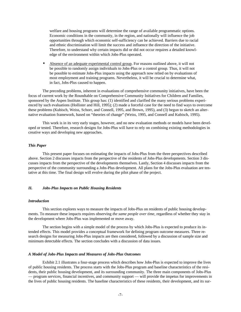welfare and housing programs will determine the range of available programmatic options. Economic conditions in the community, in the region, and nationally will influence the job opportunities through which economic self-sufficiency can be achieved. Barriers due to racial and ethnic discrimination will limit the success and influence the direction of the initiative. Therefore, to understand why certain impacts did or did not occur requires a detailed knowledge of the environment within which Jobs-Plus operated.

• Absence of an adequate experimental control group. For reasons outlined above, it will not be possible to randomly assign individuals to Jobs-Plus or a control group. Thus, it will not be possible to estimate Jobs-Plus impacts using the approach now relied on by evaluations of most employment and training programs. Nevertheless, it will be crucial to determine what, in fact, Jobs-Plus caused to happen.

The preceding problems, inherent in evaluations of comprehensive community initiatives, have been the focus of current work by the Roundtable on Comprehensive Community Initiatives for Children and Families, sponsored by the Aspen Institute. This group has: (1) identified and clarified the many serious problems experienced by such evaluations (Hollister and Hill, 1995); (2) made a forceful case for the need to find ways to overcome these problems (Kubisch, Weiss, Schorr, and Connell, 1995, and Brown, 1995), and (3) begun to sketch an alternative evaluation framework, based on "theories of change" (Weiss, 1995, and Connell and Kubisch, 1995).

This work is in its very early stages, however, and no new evaluation methods or models have been developed or tested. Therefore, research designs for Jobs-Plus will have to rely on combining existing methodologies in creative ways and developing new approaches.

#### *This Paper*

This present paper focuses on estimating the impacts of Jobs-Plus from the three perspectives described above. Section 2 discusses impacts from the perspective of the residents of Jobs-Plus developments. Section 3 discusses impacts from the perspective of the developments themselves. Lastly, Section 4 discusses impacts from the perspective of the community surrounding a Jobs-Plus development. All plans for the Jobs-Plus evaluation are tentative at this time. The final design will evolve during the pilot phase of the project.

#### *II. Jobs-Plus Impacts on Public Housing Residents*

#### *Introduction*

This section explores ways to measure the impacts of Jobs-Plus on residents of public housing developments. To measure these impacts requires observing *the same people over time*, regardless of whether they stay in the development where Jobs-Plus was implemented or move away.

The section begins with a simple model of the process by which Jobs-Plus is expected to produce its intended effects. This model provides a conceptual framework for defining program outcome measures. Three research designs for measuring Jobs-Plus impacts are then considered, followed by a discussion of sample size and minimum detectable effects. The section concludes with a discussion of data issues.

#### *A Model of Jobs-Plus Impacts and Measures of Jobs-Plus Outcomes*

Exhibit 2.1 illustrates a four-stage process which describes how Jobs-Plus is expected to improve the lives of public housing residents. The process starts with the Jobs-Plus program and baseline characteristics of the residents, their public housing development, and its surrounding community. The three main components of Jobs-Plus — program services, financial incentives, and community support — will provide the impetus for improvements in the lives of public housing residents. The baseline characteristics of these residents, their development, and its sur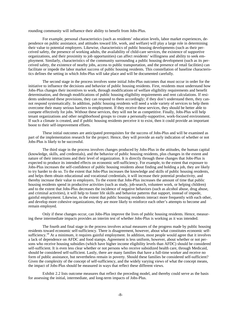rounding community will influence their ability to benefit from Jobs-Plus.

For example, personal characteristics (such as residents' education levels, labor market experiences, dependence on public assistance, and attitudes toward life, work, and welfare) will play a large role in determining their value to potential employers. Likewise, characteristics of public housing developments (such as their perceived safety, the presence of working adults, the availability of child-care services, the existence of supportive organizations, and their proximity to job opportunities) can affect residents' willingness and ability to seek employment. Similarly, characteristics of the community surrounding a public housing development (such as its perceived safety, the existence of nearby jobs, access to public transportation, and the presence of retail facilities) can facilitate or impede the labor market success of public housing residents. This constellation of baseline characteristics defines the setting in which Jobs-Plus will take place and will be documented carefully.

The second stage in the process involves some initial Jobs-Plus outcomes that must occur in order for the initiative to influence the decisions and behavior of public housing residents. First, residents must understand how Jobs-Plus changes their incentives to work, through modifications of welfare eligibility requirements and benefit determination, and through modifications of public housing eligibility requirements and rent calculations. If residents understand these provisions, they can respond to them accordingly; if they don't understand them, they cannot respond systematically. In addition, public housing residents will need a wide variety of services to help them overcome their many serious barriers to employment. If they receive these services, they should be better able to compete effectively for jobs. Without these services, they will not be as competitive. Finally, Jobs-Plus will help tenant organizations and other neighborhood groups to create a personally-supportive, work-focused environment. If such a climate is created, and if public housing residents perceive it to exist, then it could provide an important boost to their self-improvement efforts.

These initial outcomes are anticipated prerequisites for the success of Jobs-Plus and will be examined as part of the implementation research for the project. Hence, they will provide an early indication of whether or not Jobs-Plus is likely to be successful.

The third stage in the process involves changes produced by Jobs-Plus in the attitudes, the human capital (knowledge, skills, and credentials), and the behavior of public housing residents, plus changes in the extent and nature of their interactions and their level of organization. It is directly through these changes that Jobs-Plus is expected to produce its intended effects on economic self-sufficiency. For example, to the extent that exposure to Jobs-Plus increases the self-confidence of public housing residents about finding and holding a job, they are likely to try harder to do so. To the extent that Jobs-Plus increases the knowledge and skills of public housing residents, and helps them obtain educational and vocational credentials, it will increase their potential productivity, and thereby increase their value to employers. To the extent that Jobs-Plus increases the amount of time that public housing residents spend in productive activities (such as study, job-search, volunteer work, or helping children) and to the extent that Jobs-Plus decreases the incidence of negative behaviors (such as alcohol abuse, drug abuse, and criminal activities), it will help to foster life skills and behavior patterns that support, instead of impede, gainful employment. Likewise, to the extent that public housing residents interact more frequently with each other, and develop more cohesive organizations, they are more likely to reinforce each other's attempts to become and remain employed.

Only if these changes occur, can Jobs-Plus improve the lives of public housing residents. Hence, measuring these intermediate impacts provides an interim test of whether Jobs-Plus is working as it was intended.

The fourth and final stage in the process involves actual measures of the progress made by public housing residents toward economic self-sufficiency. There is disagreement, however, about what constitutes economic selfsufficiency.<sup>18</sup> At a minimum, it requires gainful employment. In addition, most people would agree that it involves a lack of dependence on AFDC and food stamps. Agreement is less uniform, however, about whether or not persons who receive housing subsidies (which have higher income eligibility levels than AFDC) should be considered self-sufficient. It is even less clear whether or not persons who receive subsidized health care, through Medicaid, should be considered self-sufficient. Lastly, there are many families that have a full-time worker and receive no form of public assistance, but nevertheless remain in poverty. Should these families be considered self-sufficient? Given the complexity of the concept of self-sufficiency, and the widely varying views of what the concept means, the impact of Jobs-Plus should be measured in ways that reflect these different views.

Exhibit 2.2 lists outcome measures that reflect the preceding model, and thereby could serve as the basis for assessing the initial, intermediate, and long-term impacts of Jobs-Plus.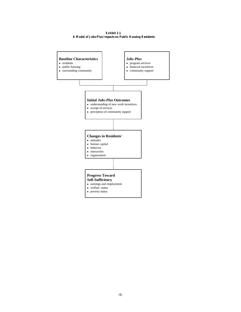**Exhibit 2.1 A Model of Jobs-Plus Impacts on Public Housing Residents**

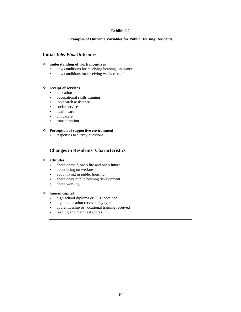# **Exhibit 2.2**

# **Examples of Outcome Variables for Public Housing Residents**

# **Initial** *Jobs-Plus* **Outcomes**

#### v **understanding of work incentives**

- new conditions for receiving housing assistance
- new conditions for receiving welfare benefits

# v **receipt of services**

- education
- occupational skills training
- job-search assistance
- social services
- health care
- child-care
- transportation

#### v **Perception of supportive environment**

• responses to survey questions

# **Changes in Residents' Characteristics**

# v **attitudes**

- about oneself, one's life and one's future
- about being on welfare
- about living in public housing
- about one's public housing development
- about working

#### v **human capital**

- high school diploma or GED obtained
- higher education received, by type
- apprenticeship or vocational training received
- reading and math test scores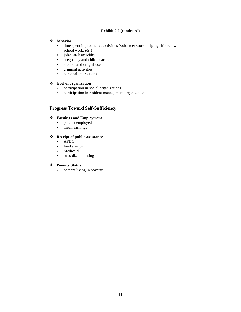# **Exhibit 2.2 (continued)**

# v **behavior**

- time spent in productive activities (volunteer work, helping children with school work. *etc.)*
- job-search activities
- pregnancy and child-bearing
- alcohol and drug abuse
- criminal activities
- personal interactions

# v **level of organization**

- participation in social organizations
- participation in resident management organizations

# **Progress Toward Self-Sufficiency**

# v **Earnings and Employment**

- percent employed
- mean earnings

# v **Receipt of public assistance**

- AFDC
- food stamps
- Medicaid
- subsidized housing

# v **Poverty Status**

• percent living in poverty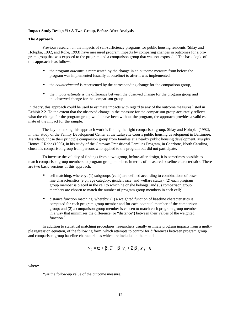#### **Impact Study Design #1: A Two-Group, Before-After Analysis**

#### **The Approach**

Previous research on the impacts of self-sufficiency programs for public housing residents (Shlay and Holupka, 1992, and Rohe, 1993) have measured program impacts by comparing changes in outcomes for a program group that was exposed to the program and a comparison group that was not exposed.<sup>19</sup> The basic logic of this approach is as follows:

- the program *outcome* is represented by the change in an outcome measure from before the program was implemented (usually at baseline) to after it was implemented,
- the *counterfactual* is represented by the corresponding change for the comparison group,
- the *impact estimate* is the difference between the observed change for the program group and the observed change for the comparison group.

In theory, this approach could be used to estimate impacts with regard to any of the outcome measures listed in Exhibit 2.2. To the extent that the observed change in the measure for the comparison group accurately reflects what the change for the program group would have been without the program, the approach provides a valid estimate of the impact for the sample.

The key to making this approach work is finding the right comparison group. Shlay and Holupka (1992), in their study of the Family Development Center at the Lafayette Courts public housing development in Baltimore, Maryland, chose their principle comparison group from families at a nearby public housing development, Murphy Homes.<sup>20</sup> Rohe (1993), in his study of the Gateway Transitional Families Program, in Charlotte, North Carolina, chose his comparison group from persons who applied to the program but did not participate.

To increase the validity of findings from a two-group, before-after design, it is sometimes possible to match comparison group members to program group members in terms of measured baseline characteristics. There are two basic versions of this approach:

- cell matching, whereby: (1) subgroups (cells) are defined according to combinations of baseline characteristics (*e.g*., age category, gender, race, and welfare status), (2) each program group member is placed in the cell to which he or she belongs, and (3) comparison group members are chosen to match the number of program group members in each cell;<sup>21</sup>
- distance function matching, whereby: (1) a weighted function of baseline characteristics is computed for each program group member and for each potential member of the comparison group; and (2) a comparison group member is chosen to match each program group member in a way that minimizes the difference (or "distance") between their values of the weighted function.<sup>22</sup>

In addition to statistical matching procedures, researchers usually estimate program impacts from a multiple regression equation, of the following form, which attempts to control for differences between program group and comparison group baseline characteristics which are included in the model

$$
Y_2 = \boldsymbol{a} + \boldsymbol{b}_0 T + \boldsymbol{b}_1 Y_1 + \boldsymbol{\Sigma} \boldsymbol{b}_j X_j + \boldsymbol{e}
$$

where:

 $Y_2$  = the follow-up value of the outcome measure,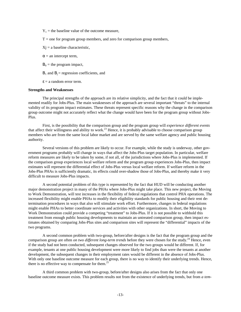$Y_1$  = the baseline value of the outcome measure,

 $T =$  one for program group members, and zero for comparison group members,

 $X<sub>i</sub> = a baseline characteristic,$ 

 $\alpha$  = an intercept term,

 $B_0$  = the program impact,

 $B_1$  and  $B_1$  = regression coefficients, and

 $\epsilon$  = a random error term.

#### **Strengths and Weaknesses**

The principal strengths of the approach are its relative simplicity, and the fact that it could be implemented readily for Jobs-Plus. The main weaknesses of the approach are several important "threats" to the internal validity of its program impact estimates. These threats represent specific reasons why the change in the comparison group outcome might not accurately reflect what the change would have been for the program group without Jobs-Plus.

First, is the possibility that the comparison group and the program group will *experience different events* that affect their willingness and ability to work.<sup>23</sup> Hence, it is probably advisable to choose comparison group members who are from the same local labor market and are served by the same welfare agency and public housing authority.

Several versions of this problem are likely to occur. For example, while the study is underway, other government programs probably will change in ways that affect the Jobs-Plus target population. In particular, welfare reform measures are likely to be taken by some, if not all, of the jurisdictions where Jobs-Plus is implemented. If the comparison group experiences local welfare reform and the program group experiences Jobs-Plus, then impact estimates will represent the differential effect of Jobs-Plus versus local welfare reform. If welfare reform in the Jobs-Plus PHAs is sufficiently dramatic, its effects could over-shadow those of Jobs-Plus, and thereby make it very difficult to measure Jobs-Plus impacts.

A second potential problem of this type is represented by the fact that HUD will be conducting another major demonstration project in many of the PHAs where Jobs-Plus might take place. This new project, the Moving to Work Demonstration, will test increases in the flexibility of federal regulations that control PHA operations. The increased flexibility might enable PHAs to modify their eligibility standards for public housing and their rent determination procedures in ways that also will stimulate work effort. Furthermore, changes in federal regulations might enable PHAs to better coordinate services and activities with other organizations. In short, the Moving to Work Demonstration could provide a competing "treatment" to Jobs-Plus. If it is not possible to withhold this treatment from enough public housing developments to maintain an untreated comparison group, then impact estimates obtained by comparing Jobs-Plus sites and comparison sites will represent the "differential" impacts of the two programs.

A second common problem with two-group, before/after designs is the fact that the program group and the comparison group are often *on two different long-term trends* before they were chosen for the study.<sup>24</sup> Hence, even if the study had not been conducted, subsequent changes observed for the two groups would be different. If, for example, tenants at one public housing development were more likely to find jobs than were the tenants at another development, the subsequent changes in their employment rates would be different in the absence of Jobs-Plus. With only one baseline outcome measure for each group, there is no way to identify their underlying trends. Hence, there is no effective way to compensate for them.<sup>25</sup>

A third common problem with two-group, before/after designs also arises from the fact that only one baseline outcome measure exists. This problem results not from the existence of underlying trends, but from *a tem-*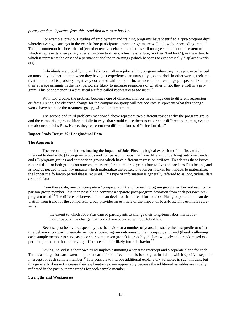#### *porary random departure from this trend that occurs at baseline.*

For example, previous studies of employment and training programs have identified a "pre-program dip" whereby average earnings in the year before participants enter a program are well below their preceding trend.<sup>26</sup> This phenomenon has been the subject of extensive debate, and there is still no agreement about the extent to which it represents a temporary aberration (due to illness, a business failure, or other "bad luck"), or the extent to which it represents the onset of a permanent decline in earnings (which happens to economically displaced workers).

Individuals are probably more likely to enroll in a job-training program when they have just experienced an unusually bad period than when they have just experienced an unusually good period. In other words, their motivation to enroll is probably negatively correlated with random fluctuations in their earnings prospects. If so, then their average earnings in the next period are likely to increase regardless of whether or not they enroll in a program. This phenomenon is a statistical artifact called *regression to the mean.*<sup>27</sup>

With two groups, the problem becomes one of different changes in earnings due to different regression artifacts. Hence, the observed change for the comparison group will not accurately represent what this change would have been for the treatment group, without the treatment.

The second and third problems mentioned above represent two different reasons why the program group and the comparison group differ initially in ways that would cause them to experience different outcomes, even in the absence of Jobs-Plus. Hence, they represent two different forms of "selection bias."

#### **Impact Study Design #2: Longitudinal Data**

#### **The Approach**

The second approach to estimating the impacts of Jobs-Plus is a logical extension of the first, which is intended to deal with: (1) program groups and comparison groups that have different underlying outcome trends, and (2) program groups and comparison groups which have different regression artifacts. To address these issues requires data for both groups on outcome measures for a number of years (four to five) before Jobs-Plus begins, and as long as needed to identify impacts which materialize thereafter. The longer it takes for impacts to materialize, the longer the followup period that is required. This type of information is generally referred to as longitudinal data or panel data.

From these data, one can compute a "pre-program" trend for each program group member and each comparison group member. It is then possible to compute a separate post-program deviation from each person's preprogram trend.<sup>28</sup> The difference between the mean deviation from trend for the Jobs-Plus group and the mean deviation from trend for the comparison group provides an estimate of the impact of Jobs-Plus. This estimate represents:

> the extent to which Jobs-Plus caused participants to change their long-term labor market behavior beyond the change that would have occurred without Jobs-Plus.

Because past behavior, especially past behavior for a number of years, is usually the best predictor of future behavior, comparing sample members' post-program outcomes to their pre-program trend (thereby allowing each sample member to serve as his or her comparison group) is probably the best way, absent a randomized experiment, to control for underlying differences in their likely future behavior.<sup>29</sup>

Giving individuals their own trend implies estimating a separate intercept and a separate slope for each. This is a straightforward extension of standard "fixed-effect" models for longitudinal data, which specify a separate intercept for each sample member.<sup>30</sup> It is possible to include additional explanatory variables in such models, but this generally does not increase their explanatory power appreciably because the additional variables are usually reflected in the past outcome trends for each sample member.<sup>31</sup>

#### **Strengths and Weaknesses**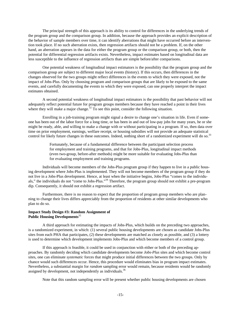The principal strength of this approach is its ability to control for differences in the underlying trends of the program group and the comparison group. In addition, because the approach provides an explicit description of the behavior of sample members over time, it can identify aberrations that might have occurred before an intervention took place. If no such aberration exists, then regression artifacts should not be a problem. If, on the other hand, an aberration appears in the data for either the program group or the comparison group, or both, then the potential for differential regression artifacts exists. Nevertheless, impact estimates based on longitudinal data are less susceptible to the influence of regression artifacts than are simple before/after comparisons.

One potential weakness of longitudinal impact estimators is the possibility that the program group and the comparison group are subject to different major local events (history). If this occurs, then differences in the changes observed for the two groups might reflect differences in the events to which they were exposed, not the impact of Jobs-Plus. Only by choosing program and comparison groups that are likely to be exposed to the same events, and carefully documenting the events to which they were exposed, can one properly interpret the impact estimates obtained.

A second potential weakness of longitudinal impact estimators is the possibility that past behavior will not adequately reflect potential future for program groups members because they have reached a point in their lives where they will make a major change.<sup>32</sup> To see this point, consider the following situation.

Enrolling in a job-training program might signal a desire to change one's situation in life. Even if someone has been out of the labor force for a long time, or has been in and out of low-pay jobs for many years, he or she might be ready, able, and willing to make a change with or without participating in a program. If so, then data over time on prior employment, earnings, welfare receipt, or housing subsidies will not provide an adequate statistical control for likely future changes in these outcomes. Indeed, nothing short of a randomized experiment will do so.<sup>33</sup>

> Fortunately, because of a fundamental difference between the participant selection process for employment and training programs, and that for Jobs-Plus, longitudinal impact methods (even two-group, before-after methods) might be more suitable for evaluating Jobs-Plus than for evaluating employment and training programs.

Individuals will become members of the Jobs-Plus program group if they happen to live in a public housing development where Jobs-Plus is implemented. They will not become members of the program group if they do not live in a Jobs-Plus development. Hence, at least when the initiative begins, Jobs-Plus "comes to the individuals," the individuals do not "come to Jobs-Plus."<sup>34</sup> Therefore, the program group should not exhibit a pre-program dip. Consequently, it should not exhibit a regression artifact.

Furthermore, there is no reason to expect that the proportion of program group members who are planning to change their lives differs appreciably from the proportion of residents at other similar developments who plan to do so.

# **Impact Study Design #3: Random Assignment of Public Housing Developments**<sup>35</sup>

A third approach for estimating the impacts of Jobs-Plus, which builds on the preceding two approaches, is a randomized experiment, in which: (1) several public housing developments are chosen as candidate Jobs-Plus sites from each PHA that participates, (2) these developments are matched as closely as possible, and (3) a lottery is used to determine which development implements Jobs-Plus and which become members of a control group.

If this approach is feasible, it could be used in conjunction with either or both of the preceding approaches. By randomly deciding which candidate developments become *Jobs-Plus* sites and which become control sites, one can eliminate *systematic* forces that might produce initial differences between the two groups. Only by chance would such differences occur. Hence, this procedure would eliminates bias in program impact estimates. Nevertheless, a substantial margin for *random* sampling error would remain, because residents would be randomly assigned by development, not independently as individuals.<sup>36</sup>

Note that this random sampling error will be present whether public housing developments are chosen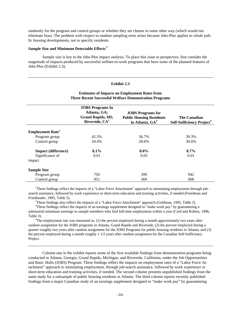randomly for the program and control groups or whether they are chosen in some other way (which would not eliminate bias). The problem with respect to random sampling error arises because Jobs-Plus applies to whole public housing developments, not to specific residents.

# **Sample Size and Minimum Detectable Effects**<sup>37</sup>

Sample size is key to the Jobs-Plus impact analysis. To place this issue in perspective, first consider the magnitude of impacts produced by successful welfare-to-work programs that have some of the planned features of Jobs-Plus (Exhibit 2.3).

#### **Exhibit 2.3**

# **Estimates of Impacts on Employment Rates from Three Recent Successful Welfare Demonstration Programs**

|                                     | <b>JOBS</b> Programs In<br>Atlanta, GA;<br><b>Grand Rapids, MI;</b><br>Riverside, $CA1$ | <b>JOBS</b> Programs for<br><b>Public Housing Residents</b><br>in Atlanta, GA <sup>2</sup> | <b>The Canadian</b><br>Self-Sufficiency Project <sup>3</sup> |
|-------------------------------------|-----------------------------------------------------------------------------------------|--------------------------------------------------------------------------------------------|--------------------------------------------------------------|
| <b>Employment Rate</b> <sup>4</sup> |                                                                                         |                                                                                            |                                                              |
| Program group                       | 42.5%                                                                                   | 36.7%                                                                                      | 39.3%                                                        |
| Control group                       | 34.4%                                                                                   | 28.6%                                                                                      | 30.6%                                                        |
| <b>Impact</b> (difference)          | $8.1\%$                                                                                 | $8.0\%$                                                                                    | $8.7\%$                                                      |
| Significance of                     | 0.01                                                                                    | 0.05                                                                                       | 0.01                                                         |
| impact                              |                                                                                         |                                                                                            |                                                              |
| <b>Sample Size</b>                  |                                                                                         |                                                                                            |                                                              |
| Program group                       | 759                                                                                     | 399                                                                                        | 942                                                          |
| Control group                       | 951                                                                                     | 369                                                                                        | 968                                                          |

<sup>1</sup>These findings reflect the impacts of a "Labor Force Attachment" approach to stimulating employment through jobsearch assistance, followed by work experience or short-term education and training activities, if needed (Freedman and Friedlander, 1995, Table 5).

<sup>2</sup>These findings also reflect the impacts of a "Labor Force Attachment" approach (Goldman, 1995, Table 5).

<sup>3</sup>These findings reflect the impacts of an earnings supplement designed to "make work pay" by guaranteeing a substantial minimum earnings to sample members who find full-time employment within a year (Card and Robins, 1996, Table 3).

<sup>4</sup>The employment rate was measured as: (1) the percent employed during a month approximately two years after random assignment for the JOBS programs in Atlanta, Grand Rapids and Riverside, (2) the percent employed during a quarter roughly two years after random assignment for the JOBS Programs for public housing residents in Atlanta, and (3) the percent employed during a month roughly 1 1/2 years after random assignment for the Canadian Self-Sufficiency Project.

Column one in the exhibit reports some of the first available findings from demonstration programs being conducted in Atlanta, Georgia; Grand Rapids, Michigan; and Riverside, California, under the Job Opportunities and Basic Skills (JOBS) Program. These findings reflect the impacts on employment rates of a "Labor Force Attachment" approach to stimulating employment, through job-search assistance, followed by work experience or short-term education and training activities, if needed. The second column presents unpublished findings from the same study for a subsample of public housing residents in Atlanta. The third column reports recently published findings from a major Canadian study of an earnings supplement designed to "make work pay" by guaranteeing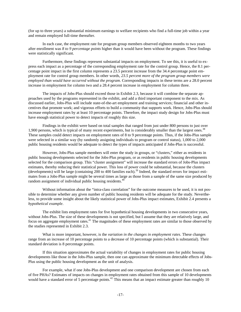(for up to three years) a substantial minimum earnings to welfare recipients who find a full-time job within a year and remain employed full-time thereafter.

In each case, the employment rate for program group members observed eighteen months to two years after enrollment was *8 to 9 percentage points* higher than it would have been without the program. These findings were statistically significant.

Furthermore, these findings represent substantial impacts on employment. To see this, it is useful to express each impact as a percentage of the corresponding employment rate for the control group. Hence, the 8.1 percentage point impact in the first column represents a 23.5 percent increase from the 34.4 percentage point employment rate for control group members. In other words*, 23.5 percent more of the program group members were employed than would have occurred without the program*. Corresponding impacts in these terms are a 28.0 percent increase in employment for column two and a 28.4 percent increase in employment for column three.

The impacts of Jobs-Plus should exceed those in Exhibit 2.3, because it will combine the separate approaches used by the programs represented in the exhibit, and add a third important component to the mix. As discussed earlier, Jobs-Plus will include state-of-the-art employment and training services; financial and other incentives that promote work; and vigorous efforts to build a community that supports work. Hence, Jobs-Plus should increase employment rates by at least 10 percentage points. Therefore, the impact study design for Jobs-Plus must have enough statistical power to detect impacts of roughly this size.

Findings in the exhibit were based on total samples that ranged from just under 800 persons to just over 1,900 persons, which is typical of many recent experiments, but is considerably smaller than the largest ones.<sup>38</sup> These samples could detect impacts on employment rates of 8 to 9 percentage points. Thus, if the Jobs-Plus sample were selected in a similar way (by randomly assigning individuals to program or control status), 1,000 to 2,000 public housing residents would be adequate to detect the types of impacts anticipated if Jobs-Plus is successful.

However, Jobs-Plus sample members will enter the study in groups, or "clusters," either as residents in public housing developments selected for the Jobs-Plus program, or as residents in public housing developments selected for the comparison group. This "cluster assignment" will increase the standard errors of Jobs-Plus impact estimates, thereby reducing their statistical power. This loss of power could be substantial, because the clusters (developments) will be large (containing 200 to 400 families each). <sup>39</sup> Indeed, the standard errors for impact estimates from a Jobs-Plus sample might be several times as large as those from a sample of the same size produced by random assignment of individual public housing residents.<sup>40</sup>

Without information about the "intra-class correlation" for the outcome measures to be used, it is not possible to determine whether any given number of public housing residents will be adequate for the study. Nevertheless, to provide some insight about the likely statistical power of Jobs-Plus impact estimates, Exhibit 2.4 presents a *hypothetical example*.

The exhibit lists employment rates for five hypothetical housing developments in two consecutive years, without Jobs-Plus. The size of these developments is not specified, but I assume that they are relatively large, and focus on aggregate employment rates.<sup>41</sup> The magnitudes of these employment rates are similar to those observed by the studies represented in Exhibit 2.3.

What is more important, however, is the *variation in the changes in employment rates*. These changes range from an increase of 10 percentage points to a decrease of 10 percentage points (which is substantial). Their standard deviation is 8 percentage points.

If this situation approximates the actual variability of changes in employment rates for public housing developments like those in the Jobs-Plus sample, then one can approximate the minimum detectable effects of Jobs-Plus using the public housing development as the unit of analysis.

For example, what if one Jobs-Plus development and one comparison development are chosen from each of five PHAs? Estimates of impacts on changes in employment rates obtained from this sample of 10 developments would have a standard error of 5 percentage points.<sup>42</sup> This means that an impact estimate greater than roughly 10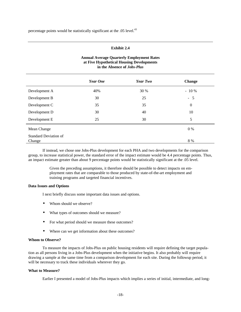percentage points would be statistically significant at the  $.05$  level.<sup>43</sup>

# **Exhibit 2.4**

# **Annual Average Quarterly Employment Rates at Five Hypothetical Housing Developments in the Absence of** *Jobs-Plus*

|                                        | <b>Year One</b> | Year Two | <b>Change</b>    |  |
|----------------------------------------|-----------------|----------|------------------|--|
| Development A                          | 40%             | 30 %     | $-10\%$          |  |
| Development B                          | 30              | 25       | $-5$             |  |
| Development C                          | 35              | 35       | $\boldsymbol{0}$ |  |
| Development D                          | 30              | 40       | 10               |  |
| Development E                          | 25              | 30       | 5                |  |
| Mean Change                            |                 |          | 0 %              |  |
| <b>Standard Deviation of</b><br>Change |                 |          | 8 %              |  |

If instead, we chose one Jobs-Plus development for each PHA and two developments for the comparison group, to increase statistical power, the standard error of the impact estimate would be 4.4 percentage points. Thus, an impact estimate greater than about 9 percentage points would be statistically significant at the .05 level.

> Given the preceding assumptions, it therefore should be possible to detect impacts on employment rates that are comparable to those produced by state-of-the-art employment and training programs and targeted financial incentives.

#### **Data Issues and Options**

I next briefly discuss some important data issues and options.

- Whom should we observe?
- What types of outcomes should we measure?
- For what period should we measure these outcomes?
- Where can we get information about these outcomes?

#### **Whom to Observe?**

To measure the impacts of Jobs-Plus on public housing residents will require defining the target population as all persons living in a Jobs-Plus development when the initiative begins. It also probably will require drawing a sample at the same time from a comparison development for each site. During the followup period, it will be necessary to track these individuals wherever they go.

#### **What to Measure?**

Earlier I presented a model of Jobs-Plus impacts which implies a series of initial, intermediate, and long-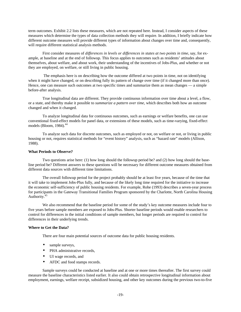term outcomes. Exhibit 2.2 lists these measures, which are not repeated here. Instead, I consider aspects of these measures which determine the types of data collection methods they will require. In addition, I briefly indicate how different outcome measures will provide different types of information about changes over time and, consequently, will require different statistical analysis methods.

First consider measures of *differences in levels or differences in states at two points in time*, say, for example, at baseline and at the end of followup. This focus applies to outcomes such as residents' attitudes about themselves, about welfare, and about work, their understanding of the incentives of Jobs-Plus, and whether or not they are employed, on welfare, or still living in public housing.

 The emphasis here is on describing how the outcome differed at two points in time, not on identifying when it might have changed, or on describing fully its pattern of change over time (if it changed more than once). Hence, one can measure such outcomes at two specific times and summarize them as mean changes — a simple before-after analysis.

True longitudinal data are different. They provide continuous information over time about a level, a flow, or a state, and thereby make it possible to *summarize a pattern over time,* which describes both how an outcome changed and when it changed.

To analyze longitudinal data for continuous outcomes, such as earnings or welfare benefits, one can use conventional fixed-effect models for panel data, or extensions of these models, such as time-varying, fixed-effect models (Bloom, 1984). 44

To analyze such data for discrete outcomes, such as employed or not, on welfare or not, or living in public housing or not, requires statistical methods for "event history" analysis, such as "hazard rate" models (Allison, 1988).

#### **What Periods to Observe?**

Two questions arise here: (1) how long should the followup period be? and (2) how long should the baseline period be? Different answers to these questions will be necessary for different outcome measures obtained from different data sources with different time limitations.

The overall followup period for the project probably should be at least five years, because of the time that it will take to implement Jobs-Plus fully, and because of the likely long time required for the initiative to increase the economic self-sufficiency of public housing residents. For example, Rohe (1993) describes a seven-year process for participants in the Gateway Transitional Families Program sponsored by the Charlotte, North Carolina Housing Authority.<sup>45</sup>

We also recommend that the baseline period for some of the study's key outcome measures include four to five years before sample members are exposed to Jobs-Plus*.* Shorter baseline periods would enable researchers to control for differences in the initial conditions of sample members, but longer periods are required to control for differences in their underlying trends.

#### **Where to Get the Data?**

There are four main potential sources of outcome data for public housing residents.

- sample surveys,
- PHA administrative records.
- UI wage records, and
- AFDC and food stamps records.

Sample surveys could be conducted at baseline and at one or more times thereafter. The first survey could measure the baseline characteristics listed earlier. It also could obtain retrospective longitudinal information about employment, earnings, welfare receipt, subsidized housing, and other key outcomes during the previous two-to-five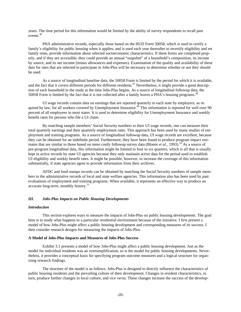years. The time period for this information would be limited by the ability of survey respondents to recall past events. $46$ 

PHA administrative records, especially those based on the HUD Form 50058, which is used to certify a family's eligibility for public housing when it applies, and is used each year thereafter to recertify eligibility and set family rents, provide information about selected socioeconomic characteristics. If these forms are completed properly, and if they are accessible, they could provide an annual "snapshot" of a household's composition, its income by source, and its net income (minus allowances and expenses). Examination of the quality and availability of these data for sites that are selected to participate in Jobs-Plus will be necessary to determine whether or not they should be used.

As a source of longitudinal baseline data, the 50058 Form is limited by the period for which it is available, and the fact that it covers different periods for different residents.<sup>47</sup> Nevertheless, it might provide a good description of each household in the study at the time Jobs-Plus begins. As a source of longitudinal followup data, the 50058 Form is limited by the fact that it is not collected after a family leaves a PHA's housing programs.<sup>48</sup>

UI wage records contain data on earnings that are reported quarterly to each state by employers, as required by law, for all workers covered by Unemployment Insurance.<sup>49</sup> This information is reported for well over 90 percent of all employees in most states. It is used to determine eligibility for Unemployment Insurance and weekly benefit rates for persons who file a UI claim.

By matching sample members' Social Security numbers to their UI wage records, one can measure their total quarterly earnings and their quarterly employment rates. This approach has been used by many studies of employment and training programs. As a source of longitudinal followup data, UI wage records are excellent, because they can be obtained for an indefinite period. Furthermore, they have been found to produce program impact estimates that are similar to those based on more costly followup survey data (Bloom *et al.*, 1993).<sup>50</sup> As a source of pre-program longitudinal data, this information might be limited to four to six quarters, which is all that is usually kept in active records by state UI agencies because they only maintain active data for the period used to establish UI eligibility and weekly benefit rates. It might be possible, however, to increase the coverage of this information substantially, if state agencies agree to provide information from their archives.

AFDC and food stamps records can be obtained by matching the Social Security numbers of sample members to the administrative records of local and state welfare agencies. This information also has been used by past evaluations of employment and training programs. When available, it represents an effective way to produce an accurate long-term, monthly history.<sup>51</sup>

#### *III. Jobs-Plus Impacts on Public Housing Developments*

#### *Introduction*

This section explores ways to measure the impacts of Jobs-Plus on public housing developments. The goal here is to study what happens to a particular residential environment because of the initiative. I first present a model of how Jobs-Plus might affect a public housing development and corresponding measures of its success. I then consider research designs for measuring the impacts of Jobs-Plus.

#### **A Model of Jobs-Plus Impacts and Measures of Jobs-Plus Success**

Exhibit 3.1 presents a model of how Jobs-Plus might affect a public housing development. Just as the model for individual residents was an oversimplification, so is the model for public housing developments. Nevertheless, it provides a conceptual basis for specifying program outcome measures and a logical structure for organizing research findings.

The structure of the model is as follows. Jobs-Plus is designed to directly influence the characteristics of public housing residents and the prevailing culture of their development. Changes in resident characteristics, in turn, produce further changes in local culture, and *vice versa*. These changes increase the success of the develop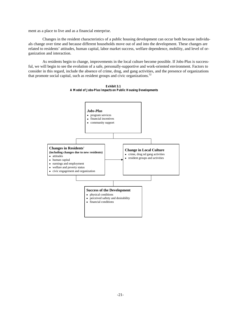ment as a place to live and as a financial enterprise.

Changes in the resident characteristics of a public housing development can occur both because individuals change over time and because different households move out of and into the development. These changes are related to residents' attitudes, human capital, labor market success, welfare dependence, mobility, and level of organization and interaction.

As residents begin to change, improvements in the local culture become possible. If Jobs-Plus is successful, we will begin to see the evolution of a safe, personally-supportive and work-oriented environment. Factors to consider in this regard, include the absence of crime, drug, and gang activities, and the presence of organizations that promote social capital, such as resident groups and civic organizations.<sup>52</sup>



**Exhibit 3.1 A Model of Jobs-Plus Impacts on Public Housing Developments**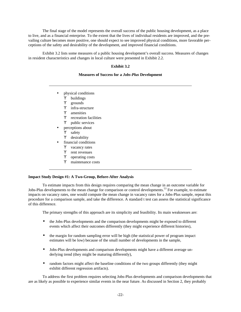The final stage of the model represents the overall success of the public housing development, as a place to live, and as a financial enterprise. To the extent that the lives of individual residents are improved, and the prevailing culture becomes more positive, one should expect to see improved physical conditions, more favorable perceptions of the safety and desirability of the development, and improved financial conditions.

Exhibit 3.2 lists some measures of a public housing development's overall success. Measures of changes in resident characteristics and changes in local culture were presented in Exhibit 2.2.

# **Exhibit 3.2**

#### **Measures of Success for a** *Jobs-Plus* **Development**

- physical conditions
	- ϒ buildings
	- ϒ grounds
	- ϒ infra-structure
	- ϒ amenities
	- ϒ recreation facilities
	- ϒ public services
	- perceptions about
	- ϒ safety
- ϒ desirability
- financial conditions
	- Y vacancy rates
	- ϒ rent revenues
	- ϒ operating costs
	- ϒ maintenance costs

#### **Impact Study Design #1: A Two-Group, Before-After Analysis**

To estimate impacts from this design requires comparing the mean change in an outcome variable for Jobs-Plus developments to the mean change for comparison or control developments.<sup>53</sup> For example, to estimate impacts on vacancy rates, one would compute the mean change in vacancy rates for a Jobs-Plus sample, repeat this procedure for a comparison sample, and take the difference. A standard t test can assess the statistical significance of this difference.

The primary strengths of this approach are its simplicity and feasibility. Its main weaknesses are:

- the Jobs-Plus developments and the comparison developments might be exposed to different events which affect their outcomes differently (they might experience different histories),
- the margin for random sampling error will be high (the statistical power of program impact estimates will be low) because of the small number of developments in the sample,
- Jobs-Plus developments and comparison developments might have a different average underlying trend (they might be maturing differently),
- random factors might affect the baseline conditions of the two groups differently (they might exhibit different regression artifacts).

To address the first problem requires selecting Jobs-Plus developments and comparison developments that are as likely as possible to experience similar events in the near future. As discussed in Section 2, they probably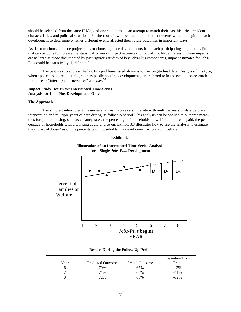should be selected from the same PHAs, and one should make an attempt to match their past histories, resident characteristics, and political situations. Furthermore, it will be crucial to document events which transpire in each development to determine whether different events affected their future outcomes in important ways.

Aside from choosing more project sites or choosing more developments from each participating site, there is little that can be done to increase the statistical power of impact estimates for Jobs-Plus. Nevertheless, if these impacts are as large as those documented by past rigorous studies of key Jobs-Plus components, impact estimates for Jobs-Plus could be statistically significant.<sup>54</sup>

The best way to address the last two problems listed above is to use longitudinal data. Designs of this type, when applied to aggregate units, such as public housing developments, are referred to in the evaluation research literature as "interrupted time-series" analyses.<sup>55</sup>

## **Impact Study Design #2: Interrupted Time-Series Analysis for Jobs-Plus Developments Only**

#### **The Approach**

The simplest interrupted time-series analysis involves a single site with multiple years of data before an intervention and multiple years of data during its followup period. This analysis can be applied to outcome measures for public housing, such as vacancy rates, the percentage of households on welfare, total rents paid, the percentage of households with a working adult, and so on. Exhibit 3.3 illustrates how to use the analysis to estimate the impact of Jobs-Plus on the percentage of households in a development who are on welfare.



# **Illustration of an Interrupted Time-Series Analysis for a Single** *Jobs-Plus* **Development**



#### **Results During the Follow-Up Period**

|      |                          |                       | Deviation from |
|------|--------------------------|-----------------------|----------------|
| Year | <b>Predicted Outcome</b> | <b>Actual Outcome</b> | Trend          |
|      | 70%                      | 67%                   | $-3%$          |
|      | 71%                      | 60%                   | $-11\%$        |
|      | 72%                      | 60%                   | $-12%$         |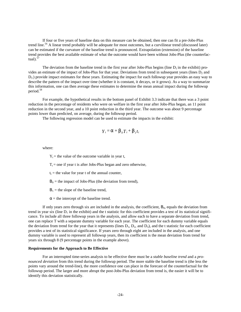If four or five years of baseline data on this measure can be obtained, then one can fit a pre-Jobs-Plus trend line.<sup>56</sup> A linear trend probably will be adequate for most outcomes, but a curvilinear trend (discussed later) can be estimated if the curvature of the baseline trend is pronounced. Extrapolation (extension) of the baseline trend provides the best available estimate of what the outcome would have been without Jobs-Plus (the counterfactual). $\frac{57}{3}$ 

The deviation from the baseline trend in the first year after Jobs-Plus begins (line  $D_1$  in the exhibit) provides an estimate of the impact of Jobs-Plus for that year. Deviations from trend in subsequent years (lines  $D<sub>2</sub>$  and  $D_3$ ) provide impact estimates for these years. Estimating the impact for each followup year provides an easy way to describe the pattern of the impact over time (whether it is constant, it decays, or it grows). As a way to summarize this information, one can then average these estimates to determine the mean annual impact during the followup period.<sup>58</sup>

For example, the hypothetical results in the bottom panel of Exhibit 3.3 indicate that there was a 3 point reduction in the percentage of residents who were on welfare in the first year after Jobs-Plus began, an 11 point reduction in the second year, and a 10 point reduction in the third year. The outcome was about 9 percentage points lower than predicted, on average, during the followup period.

The following regression model can be used to estimate the impacts in the exhibit:

$$
Y_t = \boldsymbol{a} + \boldsymbol{b}_0 T_t + \boldsymbol{b}_1 t_t
$$

where:

 $Y_t$  = the value of the outcome variable in year t,

 $T_t$  = one if year t is after Jobs-Plus began and zero otherwise,

 $t_t$  = the value for year t of the annual counter,

 $B_0$  = the impact of Jobs-Plus (the deviation from trend),

 $B_1$  = the slope of the baseline trend,

 $\alpha$  = the intercept of the baseline trend.

If only years zero through six are included in the analysis, the coefficient,  $B_0$ , equals the deviation from trend in year six (line  $D_1$  in the exhibit) and the t statistic for this coefficient provides a test of its statistical significance. To include all three followup years in the analysis, and allow each to have a separate deviation from trend, one can replace T with a separate dummy variable for each year. The coefficient for each dummy variable equals the deviation from trend for the year that it represents (lines  $D_1$ ,  $D_2$ , and  $D_3$ ), and the t statistic for each coefficient provides a test of its statistical significance. If years zero through eight are included in the analysis, and one dummy variable is used to represent all followup years, then its coefficient is the mean deviation from trend for years six through 8 (9 percentage points in the example above).

#### **Requirements for the Approach to Be Effective**

For an interrupted time-series analysis to be effective there must be a *stable baseline trend* and a *pronounced deviation* from this trend during the followup period. The more stable the baseline trend is (the less the points vary around the trend-line), the more confidence one can place in the forecast of the counterfactual for the followup period. The larger and more abrupt the post-Jobs-Plus deviation from trend is, the easier it will be to identify this deviation statistically.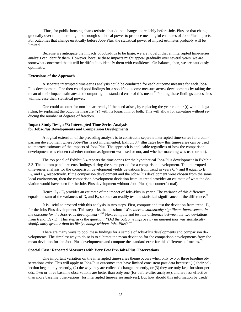Thus, for public housing characteristics that do not change appreciably before Jobs-Plus, or that change gradually over time, there might be enough statistical power to produce meaningful estimates of Jobs-Plus impacts. For outcomes that change erratically before Jobs-Plus, the statistical power of impact estimates probably will be limited.

Because we anticipate the impacts of Jobs-Plus to be large, we are hopeful that an interrupted time-series analysis can identify them. However, because these impacts might appear gradually over several years, we are somewhat concerned that it will be difficult to identify them with confidence. On balance, then, we are cautiously optimistic.

#### **Extensions of the Approach**

A separate interrupted time-series analysis could be conducted for each outcome measure for each Jobs-Plus development. One then could pool findings for a specific outcome measure across developments by taking the mean of their impact estimates and computing the standard error of this mean.<sup>59</sup> Pooling these findings across sites will increase their statistical power.

One could account for non-linear trends, if the need arises, by replacing the year counter (t) with its logarithm, by replacing the outcome measure (Y) with its logarithm, or both. This will allow for curvature without reducing the number of degrees of freedom.

#### **Impact Study Design #3: Interrupted Time-Series Analysis for Jobs-Plus Developments and Comparison Developments**

A logical extension of the preceding analysis is to construct a separate interrupted time-series for a comparison development where Jobs-Plus is not implemented. Exhibit 3.4 illustrates how this time-series can be used to improve estimates of the impacts of Jobs-Plus. The approach is applicable regardless of how the comparison development was chosen (whether random assignment was used or not, and whether matching was used or not).

The top panel of Exhibit 3.4 repeats the time-series for the hypothetical Jobs-Plus development in Exhibit 3.3. The bottom panel presents findings during the same period for a comparison development. The interrupted time-series analysis for the comparison development yields deviations from trend in years 6, 7 and 8 equal to  $E<sub>1</sub>$ ,  $E_2$ , and  $E_3$ , respectively. If the comparison development and the Jobs-Plus development were chosen from the same local environment, then the comparison development deviation from its trend provides an estimate of what the deviation would have been for the Jobs-Plus development without Jobs-Plus (the counterfactual).

Hence,  $D_t$  -  $E_t$  provides an estimate of the impact of Jobs-Plus in year t. The variance of this difference equals the sum of the variances of  $D_t$  and  $E_t$ , so one can readily test the statistical significance of the difference.<sup>60</sup>

It is useful to proceed with this analysis in two steps. First, compute and test the deviation from trend,  $D_t$ , for the Jobs-Plus development. This step asks the question: *"Was there a statistically significant improvement in the outcome for the Jobs-Plus development?"*<sup>61</sup> Next compute and test the difference between the two deviations from trend, D<sub>t</sub> - E<sub>t</sub>. This step asks the question: "Did the outcome improve by an amount that was statistically *significantly greater than its likely change without Jobs-Plus?*" 62

There are many ways to pool these findings for a sample of Jobs-Plus developments and comparison developments. The simplest way to do so is to subtract the mean deviation for the comparison developments from the mean deviation for the Jobs-Plus developments and compute the standard error for this difference of means.<sup>63</sup>

#### **Special Case: Repeated Measures with Very Few Pre-Jobs-Plus Observations**

One important variation on the interrupted time-series theme occurs when only two or three baseline observations exist. This will apply to Jobs-Plus outcomes that have limited consistent past data because: (1) their collection began only recently, (2) the way they are collected changed recently, or (3) they are only kept for short periods. Two or three baseline observations are better than only one (for before-after analyses), and are less effective than more baseline observations (for interrupted time-series analyses). But how should this information be used?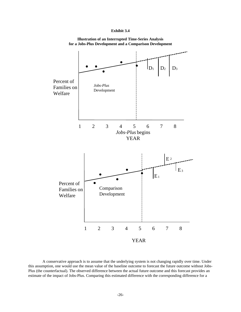





A conservative approach is to assume that the underlying system is not changing rapidly over time. Under this assumption, one would use the mean value of the baseline outcome to forecast the future outcome without Jobs-Plus (the counterfactual). The observed difference between the actual future outcome and this forecast provides an estimate of the impact of Jobs-Plus. Comparing this estimated difference with the corresponding difference for a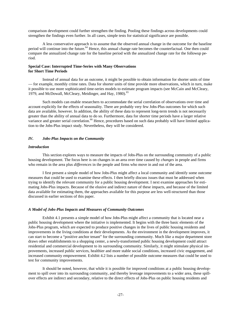comparison development could further strengthen the finding. Pooling these findings across developments could strengthen the findings even further. In all cases, simple tests for statistical significance are possible.

A less conservative approach is to assume that the observed annual change in the outcome for the baseline period will continue into the future.<sup>64</sup> Hence, this annual change rate becomes the counterfactual. One then could compare the annualized change rate for the baseline period with the annualized change rate for the followup period.

#### **Special Case: Interrupted Time-Series with Many Observations for Short Time Periods**

Instead of annual data for an outcome, it might be possible to obtain information for shorter units of time — for example, monthly crime rates. Data for shorter units of time provide more observations, which in turn, make it possible to use more sophisticated time-series models to estimate program impacts (see McCain and McCleary, 1979, and McDowall, McCleary, Meidinger, and Hay, 1980).<sup>65</sup>

Such models can enable researchers to accommodate the serial correlation of observations over time and account explicitly for the effects of seasonality. There are probably very few Jobs-Plus outcomes for which such data are available, however. In addition, the ability of these data to represent long-term trends is not necessarily greater than the ability of annual data to do so. Furthermore, data for shorter time periods have a larger relative variance and greater serial correlation.<sup>66</sup> Hence, procedures based on such data probably will have limited application to the Jobs-Plus impact study. Nevertheless, they will be considered.

#### *IV. Jobs-Plus Impacts on the Community*

#### *Introduction*

This section explores ways to measure the impacts of Jobs-Plus on the surrounding community of a public housing development. The focus here is on changes in an area over time caused by *changes* in people and firms who remain in the area plus *differences* in the people and firms who move in and out of the area.

I first present a simple model of how Jobs-Plus might affect a local community and identify some outcome measures that could be used to examine these effects. I then briefly discuss issues that must be addressed when trying to identify the relevant community for a public housing development. I next examine approaches for estimating Jobs-Plus impacts. Because of the elusive and indirect nature of these impacts, and because of the limited data available for estimating them, the approaches available for this purpose are less well-structured than those discussed in earlier sections of this paper.

#### *A Model of Jobs-Plus Impacts and Measures of Community Outcomes*

Exhibit 4.1 presents a simple model of how Jobs-Plus might affect a community that is located near a public housing development where the initiative is implemented. It begins with the three basic elements of the Jobs-Plus program, which are expected to produce positive changes in the lives of public housing residents and improvements in the living conditions at their developments. As the environment in the development improves, it can start to become a "positive anchor tenant" for the surrounding community. Much like a major department store draws other establishments to a shopping center, a newly-transformed public housing development could attract residential and commercial development to its surrounding community. Similarly, it might stimulate physical improvements, increased public services, healthier and more stable social conditions, increased civic engagement, and increased community empowerment. Exhibit 4.2 lists a number of possible outcome measures that could be used to test for community improvements.

It should be noted, however, that while it is possible for improved conditions at a public housing development to spill over into its surrounding community, and thereby leverage improvements to a wider area, these spillover effects are indirect and secondary, relative to the direct effects of Jobs-Plus on public housing residents and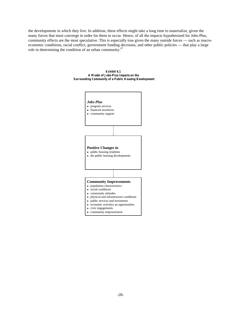the developments in which they live. In addition, these effects might take a long time to materialize, given the many forces that must converge in order for them to occur. Hence, of all the impacts hypothesized for Jobs-Plus, community effects are the most speculative. This is especially true given the many outside forces — such as macroeconomic conditions, racial conflict, government funding decisions, and other public policies — that play a large role in determining the condition of an urban community.<sup>67</sup>



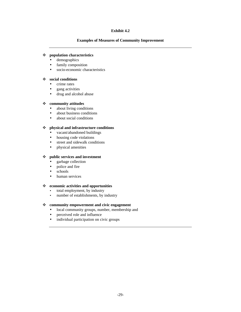# **Exhibit 4.2**

#### **Examples of Measures of Community Improvement**

# v **population characteristics**

- demographics
- family composition
- socio-economic characteristics

# v **social conditions**

- crime rates
- gang activities
- drug and alcohol abuse

#### v **community attitudes**

- about living conditions
- about business conditions
- about social conditions

#### v **physical and infrastructure conditions**

- vacant/abandoned buildings
- housing code violations
- street and sidewalk conditions
- physical amenities

# v **public services and investment**

- garbage collection
- police and fire
- schools
- human services

#### v **economic activities and opportunities**

- total employment, by industry
- number of establishments, by industry

#### v **community empowerment and civic engagement**

- local community groups, number, membership and
- perceived role and influence
- individual participation on civic groups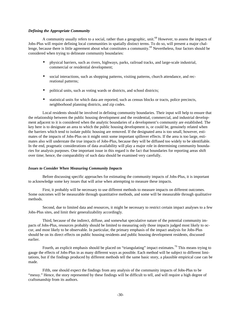#### *Defining the Appropriate Community*

A community usually refers to a social, rather than a geographic, unit.<sup>68</sup> However, to assess the impacts of Jobs-Plus will require defining local communities in spatially distinct terms. To do so, will present a major challenge, because there is little agreement about what constitutes a community.<sup>69</sup> Nevertheless, four factors should be considered when trying to delineate community boundaries:

- physical barriers, such as rivers, highways, parks, railroad tracks, and large-scale industrial, commercial or residential development;
- social interactions, such as shopping patterns, visiting patterns, church attendance, and recreational patterns;
- political units, such as voting wards or districts, and school districts;
- statistical units for which data are reported, such as census blocks or tracts, police precincts, neighborhood planning districts, and zip codes.

Local residents should be involved in defining community boundaries. Their input will help to ensure that the relationship between the public housing development and the residential, commercial, and industrial development adjacent to it is considered when the analytic boundaries of a development's community are established. The key here is to designate an area to which the public housing development is, or could be, genuinely related when the barriers which tend to isolate public housing are removed. If the designated area is too small, however, estimates of the impacts of Jobs-Plus on it might omit some important spillover effects. If the area is too large, estimates also will understate the true impacts of Jobs-Plus*,* because they will be diffused too widely to be identifiable. In the end, pragmatic considerations of data availability will play a major role in determining community boundaries for analysis purposes. One important issue in this regard is the fact that boundaries for reporting areas shift over time; hence, the comparability of such data should be examined very carefully.

#### *Issues to Consider When Measuring Community Impacts*

Before discussing specific approaches for estimating the community impacts of Jobs-Plus, it is important to acknowledge some key issues that will arise when attempting to measure these impacts.

First, it probably will be necessary to use different methods to measure impacts on different outcomes. Some outcomes will be measurable through quantitative methods, and some will be measurable through qualitative methods.

Second, due to limited data and resources, it might be necessary to restrict certain impact analyses to a few Jobs-Plus sites, and limit their generalizability accordingly.

Third, because of the indirect, diffuse, and somewhat speculative nature of the potential community impacts of Jobs-Plus*,* resources probably should be limited to measuring only those impacts judged most likely to occur, and most likely to be observable. In particular, the primary emphasis of the impact analysis for Jobs-Plus should be on its direct effects on public housing residents and public housing development residents, discussed earlier.

Fourth, an explicit emphasis should be placed on "triangulating" impact estimates.<sup>70</sup> This means trying to gauge the effects of Jobs-Plus in as many different ways as possible. Each method will be subject to different limitations, but if the findings produced by different methods tell the same basic story, a plausible empirical case can be made.

Fifth, one should expect the findings from any analysis of the community impacts of Jobs-Plus to be "messy." Hence, the story represented by these findings will be difficult to tell, and will require a high degree of craftsmanship from its authors.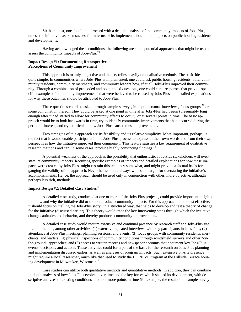Sixth and last, one should not proceed with a detailed analysis of the community impacts of Jobs-Plus, unless the initiative has been successful in terms of its implementation, and its impacts on public housing residents and developments.

Having acknowledged these conditions, the following are some potential approaches that might be used to assess the community impacts of Jobs-Plus*.* 71

# **Impact Design #1: Documenting Retrospective Perceptions of Community Improvement**

This approach is mainly subjective and, hence, relies heavily on qualitative methods. The basic idea is quite simple. In communities where Jobs-Plus is implemented, one could ask public housing residents, other community residents, community merchants, and community leaders how, if at all, Jobs-Plus improved their community. Through a combination of pre-coded and open-ended questions, one could elicit responses that provide specific examples of community improvements that were believed to be caused by Jobs-Plus and detailed explanations for why these outcomes should be attributed to Jobs-Plus.

These questions could be asked through sample surveys, in-depth personal interviews, focus groups,  $72$  or some combination thereof. They could be asked at one point in time after Jobs-Plus had begun (presumably long enough after it had started to allow for community effects to occur), or at several points in time. The basic approach would be to look backwards in time, try to identify community improvements that had occurred during the period of interest, and try to articulate how Jobs-Plus caused these improvements.

Two strengths of this approach are its feasibility and its relative simplicity. More important, perhaps, is the fact that it would enable participants in the Jobs-Plus process to express in their own words and from their own perspectives how the initiative improved their community. This feature satisfies a key requirement of qualitative research methods and can, in some cases, produce highly convincing findings.<sup>73</sup>

A potential weakness of the approach is the possibility that enthusiastic Jobs-Plus stakeholders will overstate its community impacts. Requiring specific examples of impacts and detailed explanations for how these impacts were created by Jobs-Plus, might restrain this tendency somewhat, and might provide a factual basis for gauging the validity of the approach. Nevertheless, there always will be a margin for overstating the initiative's accomplishments. Hence, the approach should be used only in conjunction with other, more objective, although perhaps less rich, methods.

# **Impact Design #2: Detailed Case Studies**<sup>74</sup>

A detailed case study, conducted at one or more of the Jobs-Plus projects, could provide important insights into how and why the initiative did or did not produce community impacts. For this approach to be most effective, it should focus on "telling the Jobs-Plus story" in a structured way, that helps to develop and test a theory of change for the initiative (discussed earlier). This theory would trace the key intervening steps through which the initiative changes attitudes and behavior, and thereby produces community improvements.

A detailed case study would require extensive and continual presence by research staff at a Jobs-Plus site. It could include, among other activities: (1) extensive repeated interviews with key participants in Jobs-Plus; (2) attendance at Jobs-Plus meetings, planning sessions, and events; (3) focus groups with community residents, merchants, and leaders; (4) physical inspections of community conditions through windshield surveys and other "onthe-ground" approaches; and (5) access to written records and newspaper accounts that document key Jobs-Plus events, decisions, and actions. These activities could form part of the basis for the research on Jobs-Plus planning and implementation discussed earlier, as well as analyses of program impacts. Such extensive on-site presence might require a local researcher, much like that used to study the HOPE VI Program at the Hillside Terrace housing development in Milwaukee, Wisconsin.<sup>75</sup>

Case studies can utilize both qualitative methods and quantitative methods. In addition, they can combine in-depth analyses of how Jobs-Plus evolved over time and the key forces which shaped its development, with descriptive analyses of existing conditions at one or more points in time (for example, the results of a sample survey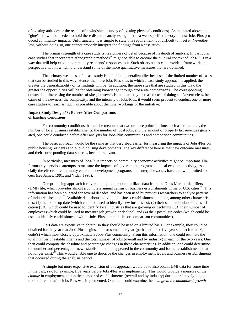of existing attitudes or the results of a windshield survey of existing physical conditions). As indicated above, the "glue" that will be needed to hold these disparate analyses together is a well-specified theory of how Jobs-Plus produced community impacts. Unfortunately, it is simple to state this requirement, but difficult to meet it. Nevertheless, without doing so, one cannot properly interpret the findings from a case study.

The primary strength of a case study is its richness of detail because of its depth of analysis. In particular, case studies that incorporate ethnographic methods<sup>76</sup> might be able to capture the cultural context of Jobs-Plus in a way that will help explain community residents' responses to it. Such observations can provide a framework and perspective within which to understand some of the more quantitative measures that are obtained.

The primary weakness of a case study is its limited generalizability because of the limited number of cases that can be studied in this way. Hence, the more Jobs-Plus sites to which a case study approach is applied, the greater the generalizability of its findings will be. In addition, the more sites that are studied in this way, the greater the opportunities will be for obtaining knowledge through cross-site comparisons. The corresponding downside of increasing the number of sites, however, is the markedly increased cost of doing so. Nevertheless, because of the newness, the complexity, and the intensity of Jobs-Plus, it would seem prudent to conduct one or more case studies to learn as much as possible about the inner workings of the initiative.

# **Impact Study Design #3: Before-After Comparisons of Existing Conditions**

For community conditions that can be measured at two or more points in time, such as crime rates, the number of local business establishments, the number of local jobs, and the amount of property tax revenues generated, one could conduct a before-after analysis for Jobs-Plus communities and comparison communities.

The basic approach would be the same as that described earlier for measuring the impacts of Jobs-Plus on public housing residents and public housing developments. The key difference here is that new outcome measures, and their corresponding data-sources, become relevant.

In particular, measures of Jobs-Plus impacts on community economic activities might be important. Unfortunately, previous attempts to measure the impacts of government programs on local economic activity, especially the effects of community economic development programs and enterprise zones, have met with limited success (see James, 1991, and Vidal, 1995).

One promising approach for overcoming this problem utilizes data from the Duns Market Identifiers (DMI) file, which provides almost a complete annual census of business establishments in major U.S. cities.<sup>77</sup> This information has been collected for several decades, and has been used by previous researchers to analyze patterns of industrial location.<sup>78</sup> Available data about individual business establishments include, among other characteristics: (1) their start-up date (which could be used to identify new businesses); (2) their standard industrial classification (SIC, which could be used to identify local industries that are growing or declining); (3) their number of employees (which could be used to measure job growth or decline), and (4) their postal zip codes (which could be used to identify establishments within Jobs-Plus communities or comparison communities).

DMI data are expensive to obtain, so they should be used on a limited basis. For example, they could be obtained for the year that Jobs-Plus begins, and for some later year (perhaps four or five years later) for the zip code(s) which most closely approximate a Jobs-Plus community. From this information, one could estimate the total number of establishments and the total number of jobs (overall and by industry) in each of the two years. One then could compute the absolute and percentage changes in these characteristics. In addition, one could determine the number and percentage of new establishment that appeared in the community and former establishments that no longer exist.<sup>79</sup> This would enable one to describe the changes in employment levels and business establishments that occurred during the analysis period.

A simple but more expensive extension of this approach would be to also obtain DMI data for some time in the past, say, for example, five years before Jobs-Plus was implemented. This would provide a measure of the *change* in employment and in the number of establishments (overall and by industry) during a relatively long period before and after Jobs-Plus was implemented. One then could examine the *change in the annualized growth*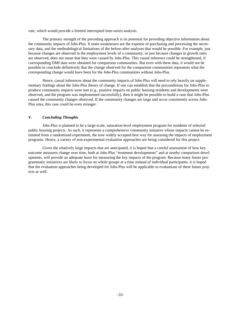*rate*, which would provide a limited interrupted time-series analysis.

The primary strength of the preceding approach is its potential for providing objective information about the community impacts of Jobs-Plus*.* It main weaknesses are the expense of purchasing and processing the necessary data, and the methodological limitations of the before-after analyses that would be possible. For example, just because changes are observed in the employment levels of a community, or just because changes in growth rates are observed, does not mean that they were caused by Jobs-Plus. This causal inference could be strengthened, if corresponding DMI data were obtained for comparison communities. But even with these data, it would not be possible to conclude definitively that the change observed for the comparison communities represents what the corresponding change would have been for the Jobs-Plus communities without Jobs-Plus*.*

Hence, causal inferences about the community impacts of Jobs-Plus will need to rely heavily on supplementary findings about the Jobs-Plus theory of change. If one can establish that the preconditions for Jobs-Plus to produce community impacts were met *(e.g.,* positive impacts on public housing residents and developments were observed, and the program was implemented successfully), then it might be possible to build a case that Jobs-Plus caused the community changes observed. If the community changes are large and occur consistently across Jobs-Plus sites, this case could be even stronger.

# *V. Concluding Thoughts*

Jobs-Plus is planned to be a large-scale, saturation-level employment program for residents of selected public housing projects. As such, it represents a comprehensive community initiative whose impacts cannot be estimated from a randomized experiment, the now widely accepted best way for assessing the impacts of employment programs. Hence, a variety of non-experimental evaluation approaches are being considered for this project.

Given the relatively large impacts that are anticipated, it is hoped that a careful assessment of how key outcome measures change over time, both at Jobs-Plus "treatment developments" and at nearby comparison developments, will provide an adequate basis for measuring the key impacts of the program. Because many future programmatic initiatives are likely to focus on whole groups at a time instead of individual participants, it is hoped that the evaluation approaches being developed for Jobs-Plus will be applicable to evaluations of these future projects as well.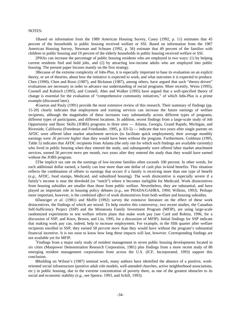#### NOTES:

1Based on information from the 1989 American Housing Survey, Casey (1992, p. 11) estimates that 45 percent of the households in public housing received welfare or SSI. Based on information from the 1987 American Housing Survey, Newman and Schnare (1992, p. 56) estimate that 49 percent of the families with children in public housing and 19 percent of the elderly households in public housing received welfare or SSI.

2PHAs can increase the percentage of public housing residents who are employed in two ways: (1) by helping current residents find and hold jobs, and (2) by attracting low-income adults who are employed into public housing. The present paper focuses mainly on the first strategy.

3Because of the extreme complexity of Jobs-Plus, it is especially important to base its evaluation on an explicit theory, or set of theories, about how the initiative is expected to work, and what outcomes it is expected to produce. Chen (1990), Chen and Rossi (1987), and Bickman (1987), among others, have argued that such "theory-driven" evaluations are necessary in order to advance our understanding of social programs. More recently, Weiss (1995), Connell and Kubisch (1995), and Connell, Aber and Walker (1995) have argued that a well-specified theory of change is essential for the evaluation of "comprehensive community initiatives," of which Jobs-Plus is a prime example (discussed later).

4Gueron and Pauly (1991) provide the most extensive review of this research. Their summary of findings (pp. 15-20) clearly indicates that employment and training services can increase the future earnings of welfare recipients, although the magnitudes of these increases vary substantially across different types of programs, different types of participants, and different locations. In addition, recent findings from a large-scale study of Job Opportunity and Basic Skills (JOBS) programs in three sites — Atlanta, Georgia, Grand Rapids, Michigan, and Riverside, California (Freedman and Friedlander, 1995, p. ES-5) — indicate that two years after single parents on AFDC were offered labor market attachment services (to facilitate quick employment), their average monthly earnings were *26 percent higher* than they would have been without the program. Furthermore, Goldman (1995, Table 5) indicates that AFDC recipients from Atlanta (the only site for which such findings are available currently) who lived in public housing when they entered the study, and subsequently were offered labor market attachment services, earned *56 percent more* per month, two years after they entered the study than they would have earned without the JOBS program.

5The implicit tax rate on the earnings of low-income families often exceeds 100 percent. In other words, for each additional dollar earned, a family can lose more than one dollar of cash plus in-kind benefits. This situation reflects the combination of offsets to earnings that occurs if a family is receiving more than one type of benefit (*e.g*., AFDC, food stamps, Medicaid, and subsidized housing). The work disincentive is especially severe if a family's income is near the threshold (or "notch") where it becomes ineligible for Medicaid. Work disincentives from housing subsidies are smaller than those from public welfare. Nevertheless, they are substantial, and have played an important role in housing policy debates (*e.g*., see PHADA/GAHRA, 1994; Wilkins, 1993). Perhaps more important, however, is the *combined effect* of work disincentives from both welfare and housing subsidies.

6Danziger *et al.* (1981) and Moffit (1992) survey the extensive literature on the effect of these work disincentives, the findings of which are mixed. To help resolve this controversy, two recent studies, the Canadian Self-Sufficiency Project (SSP) and the Minnesota Family Investment Program (MFIP), are using large-scale randomized experiments to test welfare reform plans that make work pay (see Card and Robins, 1996, for a discussion of SSP, and Knox, Brown, and Lin, 1995, for a discussion of MFIP). Initial findings for SSP indicate that making work pay can, indeed, help to increase employment. For example, in the fifth quarter after welfare recipients enrolled in SSP, they earned *58 percent more* than they would have without the program's substantial financial incentive. It is too soon to know how long these impacts will last, however. Corresponding findings are not available yet for MFIP.

<sup>7</sup>Findings from a major early study of resident management in seven public housing developments located in six cities (Manpower Demonstration Research Corporation, 1981) plus findings from a more recent study of 80 emerging resident management corporations from across the U.S. (ICF, Incorporated, 1993) support this conclusion.

8Building on Wilson's (1987) seminal work, many authors have identified the absence of a positive, workoriented social infrastructure (positive adult role models, well-attended churches, active neighborhood associations, *etc*.) in public housing, due to the extreme concentration of poverty there, as one of the greatest obstacles to its social and economic stability *(e.g*., see Spence, 1993, and Schill, 1993).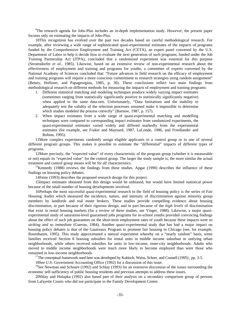<sup>9</sup>The research agenda for Jobs-Plus includes an in-depth implementation study. However, the present paper focuses only on estimating the impacts of Jobs-Plus.

10This recognition has evolved over the past two decades based on careful methodological research. For example, after reviewing a wide range of sophisticated quasi-experimental estimates of the impacts of programs funded by the Comprehensive Employment and Training Act (CETA), an expert panel convened by the U.S. Department of Labor to help it decide how to evaluate the next generation of such programs, funded under the Job Training Partnership Act (JTPA), concluded that a randomized experiment was essential for this purpose (Stromsdorfer *et al.*, 1985). Likewise, based on an extensive review of non-experimental research about the effectiveness of employment and training and programs for youths, a committee of experts convened by the National Academy of Sciences concluded that: "Future advances in field research on the efficacy of employment and training programs will require a more conscious commitment to research strategies using random assignment" (Betsey, Hollister, and Papageorgiou, 1985, p. 30). These conclusions reflect two main findings from methodological research on different methods for measuring the impacts of employment and training programs:

- 1. Different statistical matching and modeling techniques produce widely varying impact estimates (sometimes ranging from statistically significantly positive to statistically significantly negative) when applied to the same data-sets. Unfortunately, "Data limitations and the inability to adequately test the validity of the selection processes assumed make it impossible to determine which studies modeled the process correctly" (Barnow, 1987, p. 157).
- 2. When impact estimates from a wide range of quasi-experimental matching and modelling techniques were compared to corresponding impact estimates from randomized experiments, the quasi-experimental estimates varied widely and differed markedly from the experimental estimates (for example, see Fraker and Maynard, 1987, LaLonde, 1986, and Friedlander and Robins, 1995).

11More complex experiments randomly assign eligible applicants to a control group or to one of several different program groups. This makes it possible to estimate the "differential" impacts of different types of programs.

12More precisely, the "expected value" of every characteristic of the program group (whether it is measurable or not) equals its "expected value" for the control group. The larger the study sample is, the more similar the actual treatment and control group means will be for all characteristics.

 $13$ Kennedy (1988) reviews the findings from these studies. Apgar (1990) describes the influence of these findings on housing policy debates.

14Feins (1993) describes the proposed research design for this project.

15Impact estimates obtained from this design would be unbiased, but would have limited statistical power because of the small number of housing developments involved.

16Perhaps the most successful quasi-experimental research in the field of housing policy is the series of Fair Housing Audits which measured the incidence, nature, and intensity of discrimination against minority group members by landlords and real estate brokers. These studies provide compelling evidence about housing discrimination, in part because of their rigorous design, and in part because of the *high levels* of discrimination that exist in rental housing markets (for a review of these studies, see Yinger, 1988). Likewise, a major quasiexperimental study of saturation-level guaranteed jobs programs for in-school youths provided convincing findings about the effect of such job guarantees on the short-term employment rates of youth because these impacts were so *striking and so immediate* (Gueron, 1984). Another quasi-experimental study that has had a major impact on housing policy debates is that of the Gautreaux Program to promote fair housing in Chicago (see, for example, Rosenbaum, 1995). This study approximated a natural experiment whereby on a "nearly random" basis, some families received Section 8 housing subsidies for rental units in middle income suburban or outlying urban neighborhoods, while others received subsidies for units in low-income, inner-city neighborhoods. Adults who moved to middle income neighborhoods were much more likely to become employed than were those who remained in low-income neighborhoods.

<sup>17</sup>The conceptual framework used here was developed by Kubisch, Weiss, Schorr, and Connell (1995), pp. 3-5.

18See U.S. Government Accounting Office (1992) for a discussion of this issue.

<sup>19</sup>See Newman and Schnare (1992) and Schlay (1993) for an extensive discussion of the issues surrounding the economic self-sufficiency of public housing residents and previous attempts to address these issues.

20Shlay and Holupka (1992) also based part of their analysis on a secondary comparison group of persons from Lafayette Courts who did not participate in the Family Development Center.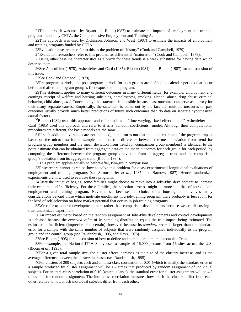21This approach was used by Bryant and Rupp (1987) to estimate the impacts of employment and training programs funded by CETA, the Comprehensive Employment and Training Act.

22This approach was used by Dickinson, Johnson, and West (1987) to estimate the impacts of employment and training programs funded by CETA.

23Evaluation researchers refer to this as the problem of "history" (Cook and Campbell, 1979).

24Evaluation researchers refer to this problem as differential "maturation" (Cook and Campbell, 1979).

25Using other baseline characteristics as a proxy for these trends is a weak substitute for having data which describe them.

26See Ashenfelter (1978), Ashenfelter and Card (1985), Bloom (1984), and Bloom (1987) for a discussion of this issue.

27See Cook and Campbell (1979).

28Pre-program periods, and post-program periods for both groups are defined as calendar periods that occur before and after the program group is first exposed to the program.

29This statement applies to many different outcomes in many different fields (for example, employment and earnings, receipt of welfare and housing subsidies, homelessness, smoking, alcohol abuse, drug abuse, criminal behavior, child abuse, *etc.)* Conceptually, the statement is plausible because past outcomes can serve as a proxy for their many separate causes. Empirically, the statement is borne out by the fact that multiple measures on past outcomes usually provide much better predictions of future such outcomes than do data on separate hypothesized causal factors.

<sup>30</sup>Bloom (1984) used this approach and refers to it as a "time-varying, fixed-effect model." Ashenfelter and Card (1985) used this approach and refer to it as a "random coefficients" model. Although their computational procedures are different, the basic models are the same.

31If such additional variables are not included, then it turns out that the point estimate of the program impact based on the micro-data for all sample members (the difference between the mean deviation from trend for program group members and the mean deviation from trend for comparison group members) is identical to the point estimate that can be obtained from aggregate data on the mean outcomes for each group for each period, by computing the difference between the program group's deviation from its aggregate trend and the comparison group's deviation from its aggregate trend (Bloom, 1984).

32This problem applies equally to before-after, two-group comparisons.

33Researchers cannot agree on how to solve this problem for quasi-experimental longitudinal evaluations of employment and training programs (see Stromsdorfer *et al.*, 1985, and Barnow, 1987). Hence, randomized experiments are now used to evaluate these programs.

34After the initiative begins, some families might choose to move into a Jobs-Plus development to increase their economic self-sufficiency. For these families, the selection process might be more like that of a traditional employment and training program. Nevertheless, because the choice of a housing unit involves many considerations beyond those which motivate enrollment in a job-training program, there probably is less room for the kind of self-selection on labor market potential that occurs in job-training programs.

35We refer to control developments here rather than comparison developments because we are discussing a true randomized experiment.

36An impact estimator based on the random assignment of Jobs-Plus developments and control developments is unbiased because the *expected value* of its sampling distribution equals the true impact being estimated. The estimator is inefficient (imprecise or uncertain), however, because its *standard error* is larger than the standard error for a sample with the same number of subjects that were randomly assigned individually to the program group and the control group (see Raudenbush, 1995, and Hays, 1973).

37See Bloom (1995) for a discussion of how to define and compute minimum detectable effects.

38For example, the National JTPA Study used a sample of 16,000 persons from 16 sites across the U.S. (Bloom *et al*., 1995).

39For a given total sample size, the cluster effect increases as the size of the clusters increase, and as the average difference between the clusters increases (see Raudenbush, 1995).

40For clusters of 200 subjects each and an intra-class correlation of 0.01 (which is small), the standard error of a sample produced by cluster assignment will be 1.7 times that produced by random assignment of individual subjects. For an intra-class correlation of 0.10 (which is large), the standard error for cluster assignment will be 4.8 times that for random assignment. The intra-class correlation measures how much the clusters differ from each other relative to how much individual subjects differ from each other.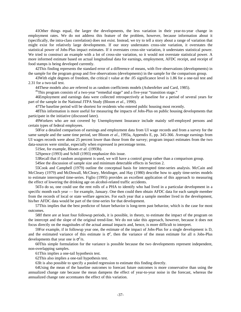41Other things equal, the larger the developments, the less variation in their year-to-year change in employment rates. We do not address this feature of the problem, however, because information about it (specifically, the intra-class correlation) does not exist. Instead, we try to tell a story about a range of variation that might exist for relatively large developments. If our story understates cross-site variation, it overstates the statistical power of Jobs-Plus impact estimates. If it overstates cross-site variation, it understates statistical power. We tried to construct an example with a lot of cross-site variation, so it would not overstate statistical power. A more informed estimate based on actual longitudinal data for earnings, employment, AFDC receipt, and receipt of food stamps is being developed currently.

42This finding represents the standard error of a difference of means, with five observations (developments) in the sample for the program group and five observations (developments) in the sample for the comparison group.

43With eight degrees of freedom, the critical t value at the .05 significance level is 1.86 for a one-tail test and 2.31 for a two-tail test.

44These models also are referred to as random coefficients models (Ashenfelter and Card, 1985).

<sup>45</sup>This program consists of a two-year "remedial stage" and a five-year "transition stage."

46Employment and earnings data were collected retrospectively at baseline for a period of several years for part of the sample in the National JTPA Study (Bloom *et al.,* 1990).

47The baseline period will be shortest for residents who entered public housing most recently.

48This information is more useful for measuring the impacts of Jobs-Plus on public housing developments that participate in the initiative (discussed later).

49Workers who are not covered by Unemployment Insurance include mainly self-employed persons and certain types of federal employees.

50For a detailed comparison of earnings and employment data from UI wage records and from a survey for the same sample and the same time period, see Bloom *et al.*, 1993a, Appendix E, pp. 345-366. Average earnings from UI wages records were about 25 percent lower than those from the survey; program impact estimates from the two data-sources were similar, especially when expressed in percentage terms.

51See, for example, Bloom *et al.* (1993b).

52Spence (1993) and Schill (1993) emphasize this issue.

53Recall that if random assignment is used, we will have a control group rather than a comparison group.

54See the discussion of sample size and minimum detectable effects in Section 2.

55Cook and Campbell (1979) outline the conceptual basis for interrupted time-series analysis. McCain and McCleary (1979) and McDowall, McCleary, Meidinger, and Hay (1980) describe how to apply time-series models to estimate interrupted time-series. Figlio (1995) provides an excellent application of this approach to measuring the effect of lowering the drinking age on alcohol-related traffic accidents.

56To do so, one could use the rent rolls of a PHA to identify who had lived in a particular development in a specific month each year — for example, January. One then could then obtain AFDC data for each sample member from the records of local or state welfare agencies. For each year that a sample member lived in the development, his/her AFDC data would be part of the time-series for that development.

57This implies that the best predictor of future behavior is long-term past behavior, which is the case for most outcomes.

58If there are at least four followup periods, it is possible, in theory, to estimate the impact of the program on the intercept and the slope of the original trend-line. We do not take this approach, however, because it does not focus directly on the magnitudes of the actual annual impacts and, hence, is more difficult to interpret.

59For example, if in followup year one, the estimate of the impact of Jobs-Plus for a single development is D, and the estimated variance of this estimate is  $\sigma^2$ , then the variance of the mean estimate for all n Jobs-Plus developments that year one is  $\sigma^2/n$ .

60This simple formulation for the variance is possible because the two developments represent independent, non-overlapping samples.

61This implies a one-tail hypothesis test.

62This also implies a one-tail hypothesis test.

63It is also possible to specify a pooled regression to estimate this finding directly.

64Using the mean of the baseline outcomes to forecast future outcomes is more conservative than using the annualized change rate because the mean dampens the effect of year-to-year noise in the forecast, whereas the annualized change rate accentuates the effect of this variation.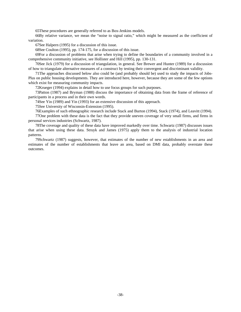65These procedures are generally referred to as Box-Jenkins models.

66By relative variance, we mean the "noise to signal ratio," which might be measured as the coefficient of variation.

67See Halpern (1995) for a discussion of this issue.

68See Coulton (1995), pp. 174-175, for a discussion of this issue.

69For a discussion of problems that arise when trying to define the boundaries of a community involved in a comprehensive community initiative, see Hollister and Hill (1995), pp. 130-131.

70See Jick (1979) for a discussion of triangulation, in general. See Brewer and Hunter (1989) for a discussion of how to triangulate alternative measures of a construct by testing their convergent and discriminant validity.

71The approaches discussed below also could be (and probably should be) used to study the impacts of Jobs-Plus on public housing developments. They are introduced here, however, because they are some of the few options which exist for measuring community impacts.

72Krueger (1994) explains in detail how to use focus groups for such purposes.

73Patton (1987) and Bryman (1988) discuss the importance of obtaining data from the frame of reference of participants in a process and in their own words.

74See Yin (1989) and Yin (1993) for an extensive discussion of this approach.

75See University of Wisconsin-Extension (1995).

76Examples of such ethnographic research include Stack and Burton (1994), Stack (1974), and Leavitt (1994).

77One problem with these data is the fact that they provide uneven coverage of very small firms, and firms in personal services industries (Schwartz, 1987).

78The coverage and quality of these data have improved markedly over time. Schwartz (1987) discusses issues that arise when using these data. Struyk and James (1975) apply them to the analysis of industrial location patterns.

79Schwartz (1987) suggests, however, that estimates of the number of new establishments in an area and estimates of the number of establishments that leave an area, based on DMI data, probably overstate these outcomes.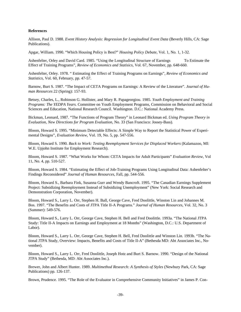#### **References**

Allison, Paul D. 1988. *Event History Analysis: Regression for Longitudinal Event Data* (Beverly Hills, CA: Sage Publications).

Apgar, William. 1990. "Which Housing Policy is Best?" *Housing Policy Debate*, Vol. 1, No. 1, 1-32.

Ashenfelter, Orley and David Card. 1985. "Using the Longitudinal Structure of Earnings To Estimate the Effect of Training Programs", *Review of Economics and Statisics*, Vol. 67, November, pp. 648-660.

Ashenfelter, Orley. 1978. " Estimating the Effect of Training Programs on Earnings", *Review of Economics and Statistics,* Vol. 60, February, pp. 47-57.

Barnow, Burt S. 1987. "The Impact of CETA Programs on Earnings: A Review of the Literature". *Journal of Human Resources* 22 (Spring): 157-93.

Betsey, Charles, L., Robinson G. Hollister, and Mary R. Papageorgiou. 1985. *Youth Employment and Training Programs: The YEDPA Years.* Committee on Youth Employment Programs, Commission on Behavioral and Social Sciences and Education, National Research Council. Washington. D.C.: National Academy Press.

Bickman, Leonard, 1987. "The Functions of Program Theory" in Leonard Bickman ed. *Using Program Theory in Evaluation, New Directions for Program Evaluation*, No. 33 (San Francisco: Jossey-Bass).

Bloom, Howard S. 1995. "Minimum Detectable Effects: A Simple Way to Report the Statistical Power of Experimental Designs", *Evaluation Review*, Vol. 19, No. 5, pp. 547-556.

Bloom, Howard S. 1990*. Back to Work: Testing Reemployment Services for Displaced Workers* (Kalamazoo, MI: W.E. Upjohn Institute for Employment Research).

Bloom, Howard S. 1987. "What Works for Whom: CETA Impacts for Adult Participants" *Evaluation Review*, Vol 11, No. 4, pp. 510-527.

Bloom, Howard S. 1984. "Estimating the Effect of Job-Training Programs Using Longitudinal Data: Ashenfelter's Findings Reconsidered" *Journal of Human Resources*, Fall, pp. 544-556.

Bloom, Howard S., Barbara Fink, Susanna Gurr and Wendy Bancroft. 1995. "The Canadian Earnings Supplement Project: Subsidizing Reemployment Instead of Subsidizing Unemployment" (New York: Social Research and Demonstration Corporation, November).

Bloom, Howard S., Larry L. Orr, Stephen H. Ball, George Cave, Fred Doolittle, Winston Lin and Johannes M. Bos. 1997. "The Benefits and Costs of JTPA Title II-A Programs." *Journal of Human Resources*, Vol. 32, No. 3 (Summer): 549-576.

Bloom, Howard S., Larry L. Orr, George Cave, Stephen H. Bell and Fred Doolittle. 1993a. "The National JTPA Study: Title II-A Impacts on Earnings and Employment at 18 Months" (Washington, D.C.: U.S. Department of Labor).

Bloom, Howard S., Larry L. Orr, George Cave, Stephen H. Bell, Fred Doolittle and Winston Lin. 1993b. "The National JTPA Study, Overview: Impacts, Benefits and Costs of Title II-A" (Bethesda MD: Abt Associates Inc., November).

Bloom, Howard S., Larry L. Orr, Fred Doolittle, Joseph Hotz and Burt S. Barnow. 1990. "Design of the National JTPA Study" (Bethesda, MD: Abt Associates Inc.).

Brewer, John and Albert Hunter. 1989. *Multimethod Research: A Synthesis of Styles* (Newbury Park, CA: Sage Publications) pp. 126-137.

Brown, Prudence. 1995. "The Role of the Evaluator in Comprehensive Community Initiatives" in James P. Con-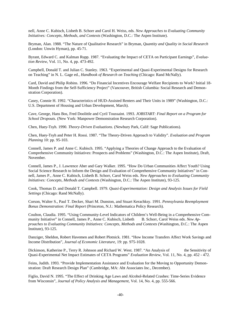nell, Anne C. Kubisch, Lisbeth B. Schorr and Carol H. Weiss, eds. *New Approaches to Evaluating Community Initiatives: Concepts, Methods, and Contexts* (Washington, D.C.: The Aspen Institute).

Bryman, Alan. 1988. "The Nature of Qualitative Research" in Bryman, *Quantity and Quality in Social Research* (London: Unwin Hyman), pp. 45-71.

Byrant, Edward C. and Kalman Rupp. 1987. "Evaluating the Impact of CETA on Participant Earnings", *Evaluation Review*, Vol. 11, No. 4, pp. 473-492.

Campbell, Donald T. and Julian C. Stanley. 1963. "Experimental and Quasi-Experimental Designs for Research on Teaching" in N. L. Gage ed., *Handbook of Research on Teaching* (Chicago: Rand McNally).

Card, David and Philip Robins. 1996. "Do Financial Incentives Encourage Welfare Recipients to Work? Initial 18- Month Findings from the Self-Sufficiency Project" (Vancouver, British Columbia: Social Research and Demonstration Corporation).

Casey, Connie H. 1992. "Characteristics of HUD-Assisted Renters and Their Units in 1989" (Washington, D.C.: U.S. Department of Housing and Urban Development, March).

Cave, George, Hans Bos, Fred Doolittle and Cyril Toussaint. 1993. *JOBSTART: Final Report on a Program for School Dropouts.* (New York: Manpower Demonstration Research Corporation).

Chen, Huey-Tsyh. 1990. *Theory-Driven Evaluations*. (Newbury Park, Calif: Sage Publications).

Chen, Huey-Tsyh and Peter H. Rossi. 1987. "The Theory-Driven Approach to Validity". *Evaluation and Program Planning* 10: pp. 95-103.

Connell, James P. and Anne C. Kubisch. 1995. "Applying a Theories of Change Approach to the Evaluation of Comprehensive Community Initiatives: Prospects and Problems" (Washington, D.C.: The Aspen Institute), Draft, November.

Connell, James P., J. Lawrence Aber and Gary Walker. 1995. "How Do Urban Communities Affect Youth? Using Social Science Research to Inform the Design and Evaluation of Comprehensive Community Initiatives" in Connell, James P., Anne C. Kubisch, Lisbeth B. Schorr, Carol Weiss eds. *New Approaches to Evaluating Community Initiatives: Concepts, Methods and Contexts* (Washington, D.C.: The Aspen Institute), 93-125.

Cook, Thomas D. and Donald T. Campbell. 1979. *Quasi-Experimentation: Design and Analysis Issues for Field Settings* (Chicago: Rand McNally).

Corson, Walter S., Paul T. Decker, Shari M. Dunston, and Stuart Kerachksy. 1991. *Pennsylvania Reemployment Bonus Demonstration: Final Report* (Princeton, N.J.: Mathematica Policy Research).

Coulton, Claudia. 1995. "Using Community-Level Indicators of Children's Well-Being in a Comprehensive Community Initiative" in Connell, James P., Anne C. Kubisch, Lisbeth B. Schorr, Carol Weiss eds. *New Approaches to Evaluating Community Initiatives: Concepts, Methods and Contexts* (Washington, D.C.: The Aspen Institute), 93-125.

Danziger, Sheldon, Robert Havemen and Robert Plotnick. 1981. "How Income Transfers Affect Work Savings and Income Distribution", *Journal of Economic Literature*, 19: pp. 975-1028.

Dickinson, Katherine P., Terry R. Johnson and Richard W. West. 1987. "An Analysis of the Sensitivity of Quasi-Experimental Net Impact Estimates of CETA Programs" *Evaluation Review*, Vol. 11, No. 4, pp. 452 - 472.

Feins, Judith. 1993. "Provide Implementation Assistance and Evaluation for the Moving to Opportunity Demonstration: Draft Research Design Plan" (Cambridge, MA: Abt Associates Inc., December).

Figlio, David N. 1995. "The Effect of Drinking Age Laws and Alcohol-Related Crashes: Time-Series Evidence from Wisconsin", *Journal of Policy Analysis and Management*, Vol. 14, No. 4, pp. 555-566.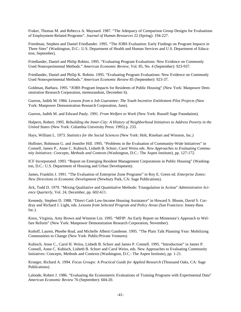Fraker, Thomas M. and Rebecca A. Maynard. 1987. "The Adequacy of Comparison Group Designs for Evaluations of Employment-Related Programs". *Journal of Human Resources* 22 (Spring): 194-227.

Freedman, Stephen and Daniel Friedlander. 1995. "The JOBS Evaluation: Early Findings on Program Impacts in Three Sites" (Washington, D.C.: U.S. Department of Health and Human Services and U.S. Department of Education, September).

Friedlander, Daniel and Philip Robins. 1995. "Evaluating Program Evaluations: New Evidence on Commonly Used Nonexperimental Methods." *American Economic Review*, Vol. 85, No. 4 (September): 923-937.

Friedlander, Daniel and Philip K. Robins. 1995. "Evaluating Program Evaluations: New Evidence on Commonly Used Nonexperimental Methods." *American Economic Review* 85 (September): 923-37.

Goldman, Barbara. 1995. "JOBS Program Impacts for Residents of Public Housing" (New York: Manpower Demonstration Research Corporation, memorandum, December 6).

Gueron, Judith M. 1984. *Lessons from a Job Guarantee: The Youth Incentive Entitlement Pilot Projects* (New York: Manpower Demonstration Research Corporation, June).

Gueron, Judith M. and Edward Pauly. 1991. *From Welfare to Work* (New York: Russell Sage Foundation).

Halpern, Robert. 1995. *Rebuilding the Inner-City: A History of Neighborhood Initiatives to Address Poverty in the United States* (New York: Columbia University Press: 1995) p. 233.

Hays, William L. 1973. *Statistics for the Social Sciences* (New York: Holt, Rinehart and Winston, Inc.)

Hollister, Robinson G. and Jennifer Hill. 1995. "Problems in the Evaluation of Community-Wide Initiatives" in Connell, James P., Anne C. Kubisch, Lisbeth B. Schorr, Carol Weiss eds. *New Approaches to Evaluating Community Initiatives: Concepts, Methods and Contexts* (Washington, D.C.: The Aspen Institute), pp. 127-172.

ICF Incorporated. 1993. "Report on Emerging Resident Management Corporations in Public Housing" (Washington, D.C.: U.S. Department of Housing and Urban Development).

James, Franklin J. 1991. "The Evaluation of Enterprise Zone Programs" in Roy E. Green ed. *Enterprise Zones: New Directions in Economic Development* (Newbury Park, CA: Sage Publications).

Jick, Todd D. 1979. "Mixing Qualitative and Quantitative Methods: Triangulation in Action" *Administrative Science Quarterly*, Vol. 24, December, pp. 602-611.

Kennedy, Stephen D. 1988. "Direct Cash Low-Income Housing Assistance" in Howard S. Bloom, David S. Cordray and Richard J. Light, eds. *Lessons from Selected Program and Policy Areas* (San Francisco: Jossey-Bass Inc.).

Knox, Virginia, Amy Brown and Winston Lin. 1995. "MFIP: An Early Report on Minnesota's Approach to Welfare Reform" (New York: Manpower Demonstration Research Corporation, November).

Kotloff, Lauren, Phoebe Roaf, and Michelle Alberti Gambone. 1995. "The Plain Talk Planning Year: Mobilizing Communities to Change (New York: Public/Private Ventures)

Kubisch, Anne C., Carol H. Weiss, Lisbeth B. Schorr and James P. Connell. 1995. "Introduction" in James P. Connell, Anne C. Kubisch, Lisbeth B. Schorr and Carol Weiss, eds. New Approaches to Evaluating Community Initiatives: Concepts, Methods and Contexts (Washington, D.C.: The Aspen Institute), pp. 1-21.

Krueger, Richard A. 1994. *Focus Groups: A Practical Guide for Applied Research* (Thousand Oaks, CA: Sage Publications).

Lalonde, Robert J. 1986. "Evaluating the Econometric Evaluations of Training Programs with Experimental Data" *American Economic Review* 76 (September): 604-20.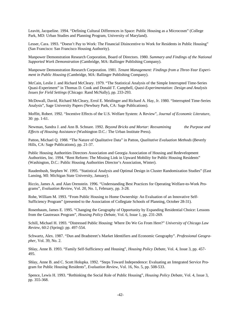Leavitt, Jacqueline. 1994. "Defining Cultural Differences in Space: Public Housing as a Microcosm" (College Park, MD: Urban Studies and Planning Program, University of Maryland).

Lesser, Cara. 1993. "Doesn't Pay to Work: The Financial Disincentive to Work for Residents in Public Housing" (San Francisco: San Francisco Housing Authority).

Manpower Demonstration Research Corporation, Board of Directors. 1980. *Summary and Findings of the National Supported Work Demonstration* (Cambridge, MA: Ballinger Publishing Company).

Manpower Demonstration Research Corporation. 1981. *Tenant Management: Findings from a Three-Year Experiment in Public Housing* (Cambridge, MA: Ballinger Publishing Company).

McCain, Leslie J. and Richard McCleary. 1979. "The Statistical Analysis of the Simple Interrupted Time-Series Quasi-Experiment" in Thomas D. Cook and Donald T. Campbell, *Quasi-Experimentation: Design and Analysis Issues for Field Settings* (Chicago: Rand McNally), pp. 233-293.

McDowall, David, Richard McCleary, Errol E. Meidinger and Richard A. Hay, Jr. 1980. "Interrupted Time-Series Analysis", Sage University Papers (Newbury Park, CA: Sage Publications).

Moffitt, Robert. 1992. "Incentive Effects of the U.S. Welfare System: A Review", *Journal of Economic Literature*, 30: pp. 1-61.

Newman, Sandra J. and Ann B. Schnare. 1992. *Beyond Bricks and Mortar: Reexamining the Purpose and Effects of Housing Assistance* (Washington D.C.: The Urban Institute Press).

Patton, Michael Q. 1988. "The Nature of Qualitative Data" in Patton, *Qualitative Evaluation Methods* (Beverly Hills, CA: Sage Publications), pp. 21-37.

Public Housing Authorities Directors Association and Georgia Association of Housing and Redevelopment Authorities, Inc. 1994. "Rent Reform: The Missing Link in Upward Mobility for Public Housing Residents" (Washington, D.C.: Public Housing Authorities Director's Association, Winter).

Raudenbush, Stephen W. 1995. "Statistical Analysis and Optimal Design in Cluster Randomization Studies" (East Lansing, MI: Michigan State University, January).

Riccio, James A. and Alan Orenstein. 1996. "Understanding Best Practices for Operating Welfare-to-Work Programs", *Evaluation Review*, Vol. 20, No. 1, February, pp. 3-28.

Rohe, William M. 1993. "From Public Housing to Home Ownership: An Evaluation of an Innovative Self-Sufficiency Program" (presented to the Association of Collegiate Schools of Planning, October 28-31).

Rosenbaum, James E. 1995. "Changing the Geography of Opportunity by Expanding Residential Choice: Lessons from the Gautreaux Program", *Housing Policy Debate*, Vol. 6, Issue 1, pp. 231-269.

Schill, Michael H. 1993. "Distressed Public Housing: Where Do We Go From Here?" *University of Chicago Law Review*, 60:2 (Spring): pp. 497-554.

Schwartz, Alex. 1987. "Dun and Bradstreet's Market Identifiers and Economic Geography". *Professional Geographer*, Vol. 39, No. 2.

Shlay, Anne B. 1993. "Family Self-Sufficiency and Housing", *Housing Policy Debate,* Vol. 4, Issue 3, pp. 457- 495.

Shlay, Anne B. and C. Scott Holupka. 1992. "Steps Toward Independence: Evaluating an Integrated Service Program for Public Housing Residents", *Evaluation Review*, Vol. 16, No. 5, pp. 508-533.

Spence, Lewis H. 1993. "Rethinking the Social Role of Public Housing", *Housing Policy Debate*, Vol. 4, Issue 3, pp. 355-368.